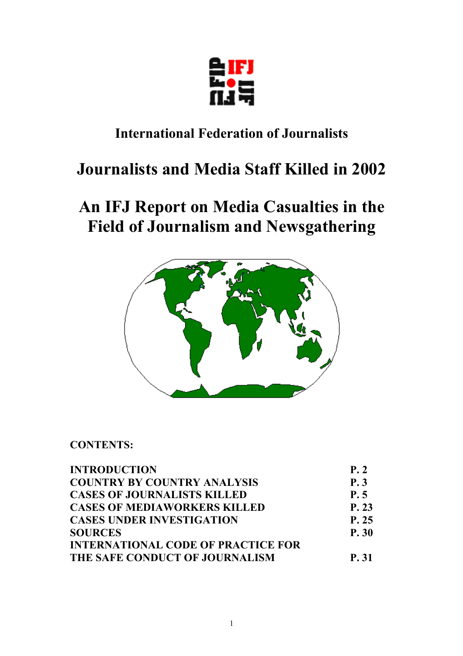

### **International Federation of Journalists**

# **Journalists and Media Staff Killed in 2002**

## **An IFJ Report on Media Casualties in the Field of Journalism and Newsgathering**



**CONTENTS:** 

| <b>INTRODUCTION</b>                       | P.2   |
|-------------------------------------------|-------|
| <b>COUNTRY BY COUNTRY ANALYSIS</b>        | P. 3  |
| <b>CASES OF JOURNALISTS KILLED</b>        | P.5   |
| <b>CASES OF MEDIAWORKERS KILLED</b>       | P. 23 |
| <b>CASES UNDER INVESTIGATION</b>          | P. 25 |
| <b>SOURCES</b>                            | P. 30 |
| <b>INTERNATIONAL CODE OF PRACTICE FOR</b> |       |
| THE SAFE CONDUCT OF JOURNALISM            | P. 31 |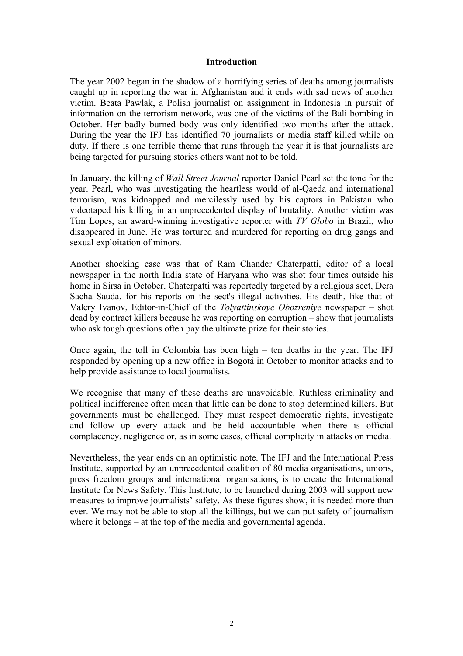#### **Introduction**

The year 2002 began in the shadow of a horrifying series of deaths among journalists caught up in reporting the war in Afghanistan and it ends with sad news of another victim. Beata Pawlak, a Polish journalist on assignment in Indonesia in pursuit of information on the terrorism network, was one of the victims of the Bali bombing in October. Her badly burned body was only identified two months after the attack. During the year the IFJ has identified 70 journalists or media staff killed while on duty. If there is one terrible theme that runs through the year it is that journalists are being targeted for pursuing stories others want not to be told.

In January, the killing of *Wall Street Journal* reporter Daniel Pearl set the tone for the year. Pearl, who was investigating the heartless world of al-Qaeda and international terrorism, was kidnapped and mercilessly used by his captors in Pakistan who videotaped his killing in an unprecedented display of brutality. Another victim was Tim Lopes, an award-winning investigative reporter with *TV Globo* in Brazil, who disappeared in June. He was tortured and murdered for reporting on drug gangs and sexual exploitation of minors.

Another shocking case was that of Ram Chander Chaterpatti, editor of a local newspaper in the north India state of Haryana who was shot four times outside his home in Sirsa in October. Chaterpatti was reportedly targeted by a religious sect, Dera Sacha Sauda, for his reports on the sect's illegal activities. His death, like that of Valery Ivanov, Editor-in-Chief of the *Tolyattinskoye Obozreniye* newspaper – shot dead by contract killers because he was reporting on corruption – show that journalists who ask tough questions often pay the ultimate prize for their stories.

Once again, the toll in Colombia has been high – ten deaths in the year. The IFJ responded by opening up a new office in Bogotá in October to monitor attacks and to help provide assistance to local journalists.

We recognise that many of these deaths are unavoidable. Ruthless criminality and political indifference often mean that little can be done to stop determined killers. But governments must be challenged. They must respect democratic rights, investigate and follow up every attack and be held accountable when there is official complacency, negligence or, as in some cases, official complicity in attacks on media.

Nevertheless, the year ends on an optimistic note. The IFJ and the International Press Institute, supported by an unprecedented coalition of 80 media organisations, unions, press freedom groups and international organisations, is to create the International Institute for News Safety. This Institute, to be launched during 2003 will support new measures to improve journalists' safety. As these figures show, it is needed more than ever. We may not be able to stop all the killings, but we can put safety of journalism where it belongs – at the top of the media and governmental agenda.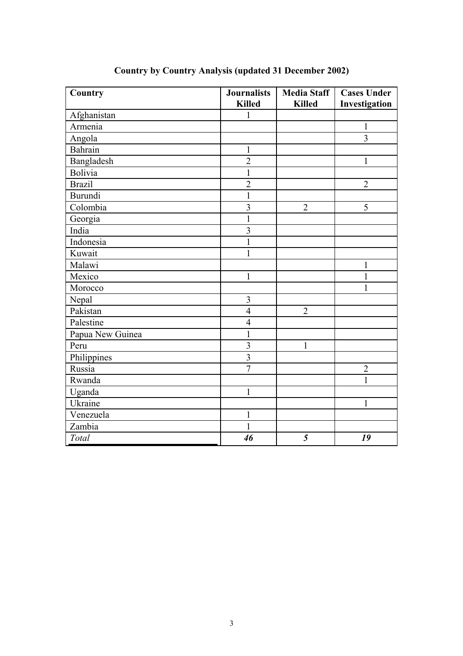| Country          | <b>Journalists</b>      | <b>Media Staff</b> | <b>Cases Under</b> |
|------------------|-------------------------|--------------------|--------------------|
|                  | <b>Killed</b>           | <b>Killed</b>      | Investigation      |
| Afghanistan      | 1                       |                    |                    |
| Armenia          |                         |                    | 1                  |
| Angola           |                         |                    | $\overline{3}$     |
| <b>Bahrain</b>   | $\mathbf{1}$            |                    |                    |
| Bangladesh       | $\overline{2}$          |                    | $\mathbf{1}$       |
| <b>Bolivia</b>   | $\mathbf{1}$            |                    |                    |
| <b>Brazil</b>    | $\overline{2}$          |                    | $\overline{2}$     |
| <b>Burundi</b>   | $\mathbf{1}$            |                    |                    |
| Colombia         | $\overline{\mathbf{3}}$ | $\overline{2}$     | 5                  |
| Georgia          | $\mathbf{1}$            |                    |                    |
| India            | $\overline{\mathbf{3}}$ |                    |                    |
| Indonesia        | $\mathbf{1}$            |                    |                    |
| Kuwait           | $\mathbf{1}$            |                    |                    |
| Malawi           |                         |                    | 1                  |
| Mexico           | $\mathbf{1}$            |                    | $\mathbf{1}$       |
| Morocco          |                         |                    | $\mathbf{1}$       |
| Nepal            | $\overline{3}$          |                    |                    |
| Pakistan         | $\overline{4}$          | $\overline{2}$     |                    |
| Palestine        | $\overline{4}$          |                    |                    |
| Papua New Guinea | $\mathbf{1}$            |                    |                    |
| Peru             | $\overline{\mathbf{3}}$ | $\mathbf{1}$       |                    |
| Philippines      | $\overline{3}$          |                    |                    |
| Russia           | $\overline{7}$          |                    | $\overline{2}$     |
| Rwanda           |                         |                    | $\mathbf{1}$       |
| Uganda           | $\mathbf{1}$            |                    |                    |
| Ukraine          |                         |                    | $\mathbf{1}$       |
| Venezuela        | $\mathbf{1}$            |                    |                    |
| Zambia           | $\mathbf{1}$            |                    |                    |
| Total            | 46                      | 5                  | 19                 |

### **Country by Country Analysis (updated 31 December 2002)**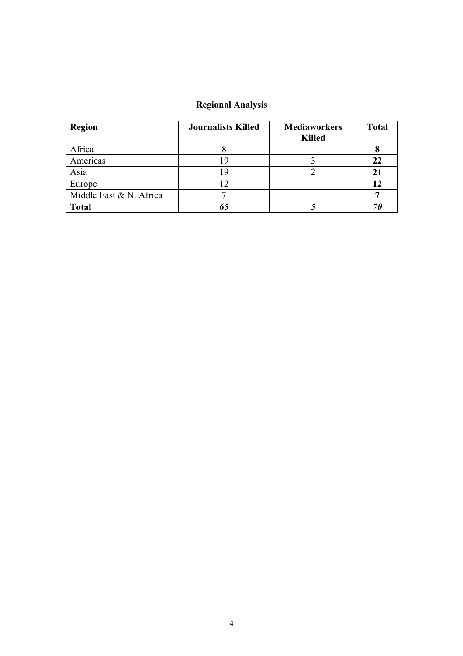### **Regional Analysis**

| <b>Region</b>           | <b>Journalists Killed</b> | <b>Mediaworkers</b><br><b>Killed</b> | <b>Total</b> |
|-------------------------|---------------------------|--------------------------------------|--------------|
| Africa                  |                           |                                      |              |
| Americas                |                           |                                      | 22           |
| Asia                    |                           |                                      | 21           |
| Europe                  |                           |                                      | 12           |
| Middle East & N. Africa |                           |                                      |              |
| <b>Total</b>            |                           |                                      |              |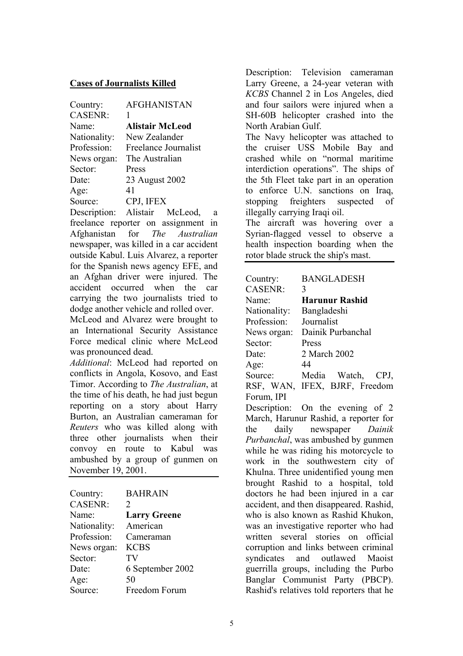#### **Cases of Journalists Killed**

| Country:       | <b>AFGHANISTAN</b>     |
|----------------|------------------------|
| <b>CASENR:</b> | 1                      |
| Name:          | <b>Alistair McLeod</b> |
| Nationality:   | New Zealander          |
| Profession:    | Freelance Journalist   |
| News organ:    | The Australian         |
| Sector:        | Press                  |
| Date:          | 23 August 2002         |
| Age:           | 41                     |
| Source:        | CPJ, IFEX              |
| Docorintion:   | Alistoir MoLood        |

Description: Alistair McLeod, a freelance reporter on assignment in Afghanistan for *The Australian* newspaper, was killed in a car accident outside Kabul. Luis Alvarez, a reporter for the Spanish news agency EFE, and an Afghan driver were injured. The accident occurred when the car carrying the two journalists tried to dodge another vehicle and rolled over.

McLeod and Alvarez were brought to an International Security Assistance Force medical clinic where McLeod was pronounced dead.

*Additional*: McLeod had reported on conflicts in Angola, Kosovo, and East Timor. According to *The Australian*, at the time of his death, he had just begun reporting on a story about Harry Burton, an Australian cameraman for *Reuters* who was killed along with three other journalists when their convoy en route to Kabul was ambushed by a group of gunmen on November 19, 2001.

| Country:       | <b>BAHRAIN</b>              |
|----------------|-----------------------------|
| <b>CASENR:</b> | $\mathcal{D}_{\mathcal{L}}$ |
| Name:          | <b>Larry Greene</b>         |
| Nationality:   | American                    |
| Profession:    | Cameraman                   |
| News organ:    | <b>KCBS</b>                 |
| Sector:        | TV                          |
| Date:          | 6 September 2002            |
| Age:           | 50                          |
| Source:        | Freedom Forum               |

Description: Television cameraman Larry Greene, a 24-year veteran with *KCBS* Channel 2 in Los Angeles, died and four sailors were injured when a SH-60B helicopter crashed into the North Arabian Gulf.

The Navy helicopter was attached to the cruiser USS Mobile Bay and crashed while on "normal maritime interdiction operations". The ships of the 5th Fleet take part in an operation to enforce U.N. sanctions on Iraq, stopping freighters suspected of illegally carrying Iraqi oil.

The aircraft was hovering over a Syrian-flagged vessel to observe a health inspection boarding when the rotor blade struck the ship's mast.

| Country:       | <b>BANGLADESH</b>                         |
|----------------|-------------------------------------------|
| <b>CASENR:</b> | 3                                         |
| Name:          | <b>Harunur Rashid</b>                     |
| Nationality:   | Bangladeshi                               |
| Profession:    | Journalist                                |
| News organ:    | Dainik Purbanchal                         |
| Sector:        | Press                                     |
| Date:          | 2 March 2002                              |
| Age:           | 44                                        |
| Source:        | Media Watch, CPJ,                         |
| RSF, WAN,      | IFEX, BJRF, Freedom                       |
| Forum, IPI     |                                           |
|                | Description: On the evening of 2          |
|                | March, Harunur Rashid, a reporter for     |
| the            | daily newspaper Dainik                    |
|                | Purbanchal, was ambushed by gunmen        |
|                | while he was riding his motorcycle to     |
|                | work in the southwestern city of          |
|                | Khulna. Three unidentified young men      |
|                | brought Rashid to a hospital, told        |
|                | doctors he had been injured in a car      |
|                | accident, and then disappeared. Rashid,   |
|                | who is also known as Rashid Khukon,       |
|                | was an investigative reporter who had     |
|                | written several stories on official       |
|                | corruption and links between criminal     |
| syndicates     | and outlawed Maoist                       |
|                | guerrilla groups, including the Purbo     |
|                | Banglar Communist Party (PBCP).           |
|                | Rashid's relatives told reporters that he |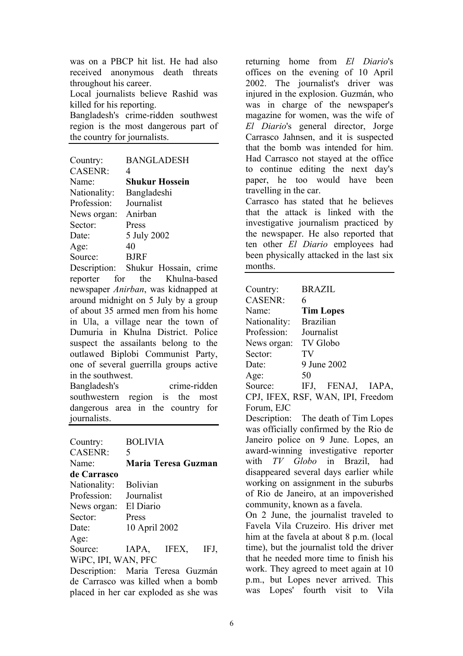was on a PBCP hit list. He had also received anonymous death threats throughout his career.

Local journalists believe Rashid was killed for his reporting.

Bangladesh's crime-ridden southwest region is the most dangerous part of the country for journalists.

| Country:       | <b>BANGLADESH</b>     |
|----------------|-----------------------|
| <b>CASENR:</b> | 4                     |
| Name:          | <b>Shukur Hossein</b> |
| Nationality:   | Bangladeshi           |
| Profession:    | Journalist            |
| News organ:    | Anirban               |
| Sector:        | Press                 |
| Date:          | 5 July 2002           |
| Age:           | 40                    |
| Source:        | <b>BJRF</b>           |

Description: Shukur Hossain, crime reporter for the Khulna-based newspaper *Anirban*, was kidnapped at around midnight on 5 July by a group of about 35 armed men from his home in Ula, a village near the town of Dumuria in Khulna District. Police suspect the assailants belong to the outlawed Biplobi Communist Party, one of several guerrilla groups active in the southwest.

Bangladesh's crime-ridden southwestern region is the most dangerous area in the country for journalists.

| Country:                         | <b>BOLIVIA</b>  |                            |      |
|----------------------------------|-----------------|----------------------------|------|
| <b>CASENR:</b>                   | 5               |                            |      |
| Name <sup>-</sup>                |                 | <b>Maria Teresa Guzman</b> |      |
| de Carrasco                      |                 |                            |      |
| Nationality:                     | <b>Bolivian</b> |                            |      |
| Profession:                      | Journalist      |                            |      |
| News organ:                      | El Diario       |                            |      |
| Sector:                          | Press           |                            |      |
| Date:                            | 10 April 2002   |                            |      |
| Age:                             |                 |                            |      |
| Source:                          | IAPA, IFEX,     |                            | IFJ, |
| WIPC, IPI, WAN, PFC              |                 |                            |      |
| Description: Morio Teresa Curmón |                 |                            |      |

Description: Maria Teresa Guzmán de Carrasco was killed when a bomb placed in her car exploded as she was returning home from *El Diario*'s offices on the evening of 10 April 2002. The journalist's driver was injured in the explosion. Guzmán, who was in charge of the newspaper's magazine for women, was the wife of *El Diario*'s general director, Jorge Carrasco Jahnsen, and it is suspected that the bomb was intended for him. Had Carrasco not stayed at the office to continue editing the next day's paper, he too would have been travelling in the car. Carrasco has stated that he believes that the attack is linked with the investigative journalism practiced by the newspaper. He also reported that

ten other *El Diario* employees had been physically attacked in the last six months.

| Country:                    | <b>BRAZIL</b>       |
|-----------------------------|---------------------|
| <b>CASENR:</b>              | 6                   |
| Name:                       | <b>Tim Lopes</b>    |
| Nationality:                | <b>Brazilian</b>    |
| Profession:                 | Journalist          |
| News organ:                 | <b>TV</b> Globo     |
| Sector:                     | TV                  |
| Date:                       | 9 June 2002         |
| Age:                        | 50                  |
| $C_{\alpha\mu\alpha\alpha}$ | <b>EEMAI</b><br>TET |

Source: IFJ, FENAJ, IAPA, CPJ, IFEX, RSF, WAN, IPI, Freedom Forum, EJC

Description: The death of Tim Lopes was officially confirmed by the Rio de Janeiro police on 9 June. Lopes, an award-winning investigative reporter with *TV Globo* in Brazil, had disappeared several days earlier while working on assignment in the suburbs of Rio de Janeiro, at an impoverished community, known as a favela.

On 2 June, the journalist traveled to Favela Vila Cruzeiro. His driver met him at the favela at about 8 p.m. (local time), but the journalist told the driver that he needed more time to finish his work. They agreed to meet again at 10 p.m., but Lopes never arrived. This was Lopes' fourth visit to Vila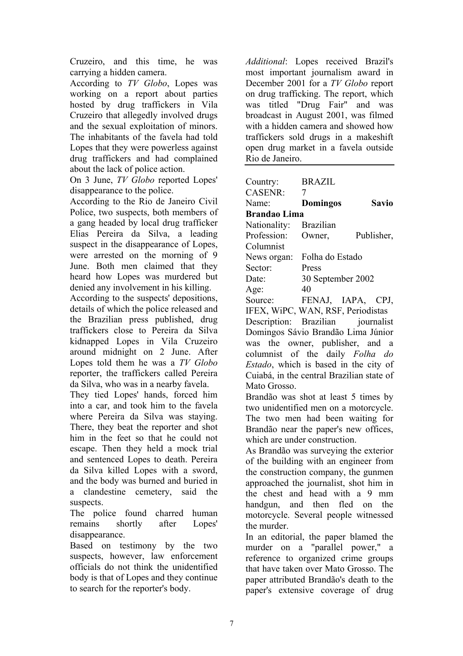Cruzeiro, and this time, he was carrying a hidden camera.

According to *TV Globo*, Lopes was working on a report about parties hosted by drug traffickers in Vila Cruzeiro that allegedly involved drugs and the sexual exploitation of minors. The inhabitants of the favela had told Lopes that they were powerless against drug traffickers and had complained about the lack of police action.

On 3 June, *TV Globo* reported Lopes' disappearance to the police.

According to the Rio de Janeiro Civil Police, two suspects, both members of a gang headed by local drug trafficker Elias Pereira da Silva, a leading suspect in the disappearance of Lopes, were arrested on the morning of 9 June. Both men claimed that they heard how Lopes was murdered but denied any involvement in his killing.

According to the suspects' depositions, details of which the police released and the Brazilian press published, drug traffickers close to Pereira da Silva kidnapped Lopes in Vila Cruzeiro around midnight on 2 June. After Lopes told them he was a *TV Globo* reporter, the traffickers called Pereira da Silva, who was in a nearby favela.

They tied Lopes' hands, forced him into a car, and took him to the favela where Pereira da Silva was staying. There, they beat the reporter and shot him in the feet so that he could not escape. Then they held a mock trial and sentenced Lopes to death. Pereira da Silva killed Lopes with a sword, and the body was burned and buried in a clandestine cemetery, said the suspects.

The police found charred human remains shortly after Lopes' disappearance.

Based on testimony by the two suspects, however, law enforcement officials do not think the unidentified body is that of Lopes and they continue to search for the reporter's body.

*Additional*: Lopes received Brazil's most important journalism award in December 2001 for a *TV Globo* report on drug trafficking. The report, which was titled "Drug Fair" and was broadcast in August 2001, was filmed with a hidden camera and showed how traffickers sold drugs in a makeshift open drug market in a favela outside Rio de Janeiro.

| Country:                                  | <b>BRAZIL</b>     |              |
|-------------------------------------------|-------------------|--------------|
| CASENR:                                   | 7                 |              |
| Name:                                     | <b>Domingos</b>   | <b>Savio</b> |
| <b>Brandao Lima</b>                       |                   |              |
| Nationality: Brazilian                    |                   |              |
| Profession: Owner,                        |                   | Publisher,   |
| Columnist                                 |                   |              |
| News organ:                               | Folha do Estado   |              |
| Sector:                                   | Press             |              |
| Date:                                     | 30 September 2002 |              |
| Age:                                      | 40                |              |
| Source: FENAJ, IAPA, CPJ,                 |                   |              |
| IFEX, WiPC, WAN, RSF, Periodistas         |                   |              |
| Description: Brazilian journalist         |                   |              |
| Domingos Sávio Brandão Lima Júnior        |                   |              |
| was the owner, publisher, and a           |                   |              |
| columnist of the daily Folha do           |                   |              |
| Estado, which is based in the city of     |                   |              |
| Cuiabá, in the central Brazilian state of |                   |              |
| Mato Grosso.                              |                   |              |
| Brandão was shot at least 5 times by      |                   |              |

two unidentified men on a motorcycle. The two men had been waiting for Brandão near the paper's new offices, which are under construction.

As Brandão was surveying the exterior of the building with an engineer from the construction company, the gunmen approached the journalist, shot him in the chest and head with a 9 mm handgun, and then fled on the motorcycle. Several people witnessed the murder.

In an editorial, the paper blamed the murder on a "parallel power," a reference to organized crime groups that have taken over Mato Grosso. The paper attributed Brandão's death to the paper's extensive coverage of drug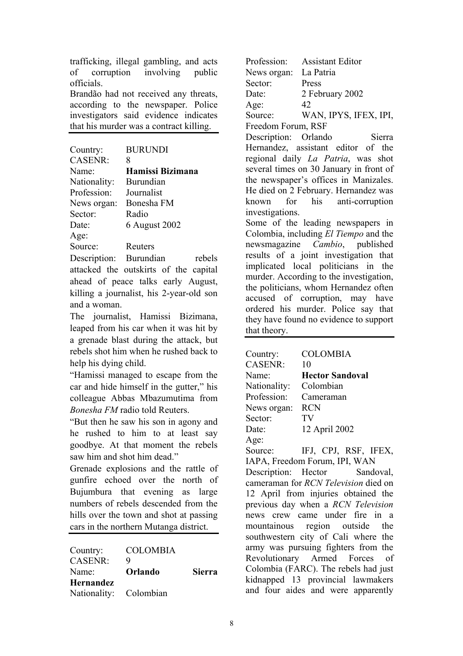trafficking, illegal gambling, and acts of corruption involving public officials.

Brandão had not received any threats, according to the newspaper. Police investigators said evidence indicates that his murder was a contract killing.

| Country:       | <b>BURUNDI</b>                |
|----------------|-------------------------------|
| <b>CASENR:</b> | 8                             |
| Name:          | Hamissi Bizimana              |
| Nationality:   | Burundian                     |
| Profession:    | Journalist                    |
| News organ:    | Bonesha FM                    |
| Sector:        | Radio                         |
| Date:          | 6 August 2002                 |
| Age:           |                               |
| Source:        | Reuters                       |
| Description:   | <b>Burundian</b><br>$r\alpha$ |

Description: Burundian rebels attacked the outskirts of the capital ahead of peace talks early August, killing a journalist, his 2-year-old son and a woman.

The journalist, Hamissi Bizimana, leaped from his car when it was hit by a grenade blast during the attack, but rebels shot him when he rushed back to help his dying child.

"Hamissi managed to escape from the car and hide himself in the gutter," his colleague Abbas Mbazumutima from *Bonesha FM* radio told Reuters.

"But then he saw his son in agony and he rushed to him to at least say goodbye. At that moment the rebels saw him and shot him dead."

Grenade explosions and the rattle of gunfire echoed over the north of Bujumbura that evening as large numbers of rebels descended from the hills over the town and shot at passing cars in the northern Mutanga district.

| Country:               | <b>COLOMBIA</b> |               |
|------------------------|-----------------|---------------|
| <b>CASENR:</b>         | 9               |               |
| Name:                  | Orlando         | <b>Sierra</b> |
| <b>Hernandez</b>       |                 |               |
| Nationality: Colombian |                 |               |

Profession: Assistant Editor News organ: La Patria Sector: Press Date: 2 February 2002  $Age: 42$ Source: WAN, IPYS, IFEX, IPI, Freedom Forum, RSF Description: Orlando Sierra Hernandez, assistant editor of the regional daily *La Patria*, was shot several times on 30 January in front of

the newspaper's offices in Manizales. He died on 2 February. Hernandez was known for his anti-corruption investigations.

Some of the leading newspapers in Colombia, including *El Tiempo* and the newsmagazine *Cambio*, published results of a joint investigation that implicated local politicians in the murder. According to the investigation, the politicians, whom Hernandez often accused of corruption, may have ordered his murder. Police say that they have found no evidence to support that theory.

| Country:                                  | <b>COLOMBIA</b>                    |  |
|-------------------------------------------|------------------------------------|--|
| CASENR:                                   | 10                                 |  |
| Name:                                     | <b>Hector Sandoval</b>             |  |
| Nationality:                              | Colombian                          |  |
| Profession: Cameraman                     |                                    |  |
| News organ:                               | <b>RCN</b>                         |  |
| Sector:                                   | TV                                 |  |
| Date:                                     | 12 April 2002                      |  |
| Age:                                      |                                    |  |
| Source:                                   | IFJ, CPJ, RSF, IFEX,               |  |
|                                           | IAPA, Freedom Forum, IPI, WAN      |  |
|                                           | Description: Hector Sandoval,      |  |
| cameraman for RCN Television died on      |                                    |  |
| 12 April from injuries obtained the       |                                    |  |
| previous day when a <i>RCN Television</i> |                                    |  |
| news crew came under fire in a            |                                    |  |
| mountainous region outside the            |                                    |  |
| southwestern city of Cali where the       |                                    |  |
| army was pursuing fighters from the       |                                    |  |
| Revolutionary Armed Forces of             |                                    |  |
| Colombia (FARC). The rebels had just      |                                    |  |
| kidnapped 13 provincial lawmakers         |                                    |  |
|                                           | and four aides and were apparently |  |
|                                           |                                    |  |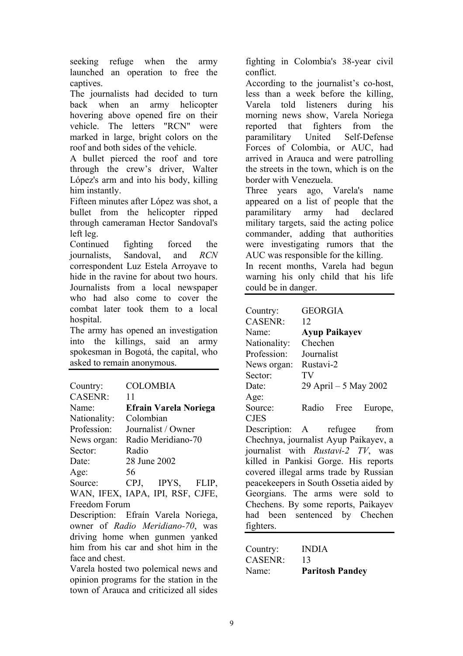seeking refuge when the army launched an operation to free the captives.

The journalists had decided to turn back when an army helicopter hovering above opened fire on their vehicle. The letters "RCN" were marked in large, bright colors on the roof and both sides of the vehicle.

A bullet pierced the roof and tore through the crew's driver, Walter López's arm and into his body, killing him instantly.

Fifteen minutes after López was shot, a bullet from the helicopter ripped through cameraman Hector Sandoval's left leg.

Continued fighting forced the journalists, Sandoval, and *RCN* correspondent Luz Estela Arroyave to hide in the ravine for about two hours. Journalists from a local newspaper who had also come to cover the combat later took them to a local hospital.

The army has opened an investigation into the killings, said an army spokesman in Bogotá, the capital, who asked to remain anonymous.

| Country:       | <b>COLOMBIA</b>                  |  |  |
|----------------|----------------------------------|--|--|
| <b>CASENR:</b> | 11                               |  |  |
| Name:          | <b>Efrain Varela Noriega</b>     |  |  |
| Nationality:   | Colombian                        |  |  |
| Profession:    | Journalist / Owner               |  |  |
| News organ:    | Radio Meridiano-70               |  |  |
| Sector:        | Radio                            |  |  |
| Date:          | 28 June 2002                     |  |  |
| Age:           | 56                               |  |  |
| Source:        | CPJ, IPYS, FLIP,                 |  |  |
|                | WAN, IFEX, IAPA, IPI, RSF, CJFE, |  |  |
| Freedom Forum  |                                  |  |  |

Description: Efraín Varela Noriega, owner of *Radio Meridiano-70*, was driving home when gunmen yanked him from his car and shot him in the face and chest.

Varela hosted two polemical news and opinion programs for the station in the town of Arauca and criticized all sides fighting in Colombia's 38-year civil conflict.

According to the journalist's co-host, less than a week before the killing, Varela told listeners during his morning news show, Varela Noriega reported that fighters from the paramilitary United Self-Defense Forces of Colombia, or AUC, had arrived in Arauca and were patrolling the streets in the town, which is on the border with Venezuela.

Three years ago, Varela's name appeared on a list of people that the paramilitary army had declared military targets, said the acting police commander, adding that authorities were investigating rumors that the AUC was responsible for the killing.

In recent months, Varela had begun warning his only child that his life could be in danger.

| Country:                               | GEORGIA                     |  |  |
|----------------------------------------|-----------------------------|--|--|
| CASENR:                                | 12                          |  |  |
| Name:                                  | <b>Ayup Paikayev</b>        |  |  |
| Nationality:                           | Chechen                     |  |  |
| Profession:                            | Journalist                  |  |  |
| News organ:                            | Rustavi-2                   |  |  |
| Sector:                                | TV                          |  |  |
| Date:                                  | 29 April – 5 May 2002       |  |  |
| Age:                                   |                             |  |  |
| Source:                                | Radio Free<br>Europe,       |  |  |
| <b>CJES</b>                            |                             |  |  |
|                                        | Description: A refugee from |  |  |
| Chechnya, journalist Ayup Paikayev, a  |                             |  |  |
| journalist with Rustavi-2 TV, was      |                             |  |  |
| killed in Pankisi Gorge. His reports   |                             |  |  |
| covered illegal arms trade by Russian  |                             |  |  |
| peacekeepers in South Ossetia aided by |                             |  |  |
| Georgians. The arms were sold to       |                             |  |  |
| Chechens. By some reports, Paikayev    |                             |  |  |
| had been sentenced by Chechen          |                             |  |  |
| fighters.                              |                             |  |  |
|                                        |                             |  |  |

| Country: | <b>INDIA</b>           |
|----------|------------------------|
| CASENR:  | 13                     |
| Name:    | <b>Paritosh Pandey</b> |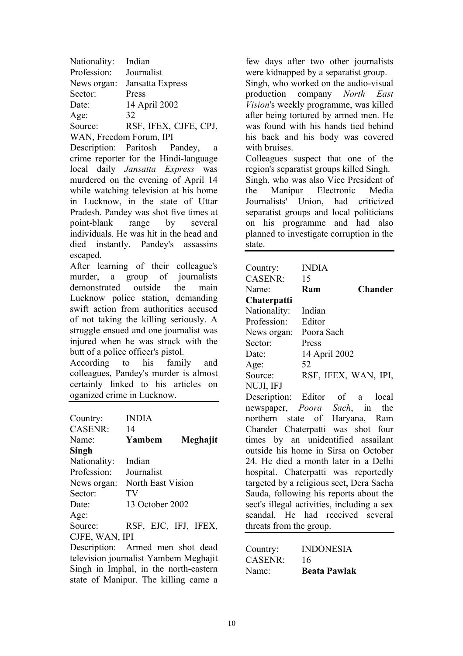| Nationality:            | Indian                |  |
|-------------------------|-----------------------|--|
| Profession:             | Journalist            |  |
| News organ:             | Jansatta Express      |  |
| Sector:                 | Press                 |  |
| Date:                   | 14 April 2002         |  |
| Age:                    | 32                    |  |
| Source:                 | RSF, IFEX, CJFE, CPJ, |  |
| WAN, Freedom Forum, IPI |                       |  |

Description: Paritosh Pandey, a crime reporter for the Hindi-language local daily *Jansatta Express* was murdered on the evening of April 14 while watching television at his home in Lucknow, in the state of Uttar Pradesh. Pandey was shot five times at point-blank range by several individuals. He was hit in the head and died instantly. Pandey's assassins escaped.

After learning of their colleague's murder, a group of journalists demonstrated outside the main Lucknow police station, demanding swift action from authorities accused of not taking the killing seriously. A struggle ensued and one journalist was injured when he was struck with the butt of a police officer's pistol.

According to his family and colleagues, Pandey's murder is almost certainly linked to his articles on oganized crime in Lucknow.

| Country:                         | <b>INDIA</b>          |                |
|----------------------------------|-----------------------|----------------|
| <b>CASENR:</b>                   | 14                    |                |
| Name:                            | Yambem                | Meghajit       |
| Singh                            |                       |                |
| Nationality:                     | Indian                |                |
| Profession:                      | Journalist            |                |
| News organ:                      | North East Vision     |                |
| Sector:                          | TV                    |                |
| Date:                            | 13 October 2002       |                |
| Age:                             |                       |                |
| Source:                          | RSF, EJC, IFJ, IFEX,  |                |
| CJFE, WAN, IPI                   |                       |                |
| Description: Armed men shot dead |                       |                |
|                                  | $1' \cdot \mathbf{v}$ | $\blacksquare$ |

television journalist Yambem Meghajit Singh in Imphal, in the north-eastern state of Manipur. The killing came a

few days after two other journalists were kidnapped by a separatist group. Singh, who worked on the audio-visual production company *North East Vision*'s weekly programme, was killed after being tortured by armed men. He was found with his hands tied behind his back and his body was covered with bruises.

Colleagues suspect that one of the region's separatist groups killed Singh. Singh, who was also Vice President of the Manipur Electronic Media Journalists' Union, had criticized separatist groups and local politicians on his programme and had also planned to investigate corruption in the state.

| Country:                                   | <b>INDIA</b>  |                                       |  |
|--------------------------------------------|---------------|---------------------------------------|--|
| <b>CASENR:</b>                             | 15            |                                       |  |
| Name:                                      | Ram           | <b>Chander</b>                        |  |
| Chaterpatti                                |               |                                       |  |
| Nationality:                               | Indian        |                                       |  |
| Profession:                                | Editor        |                                       |  |
| News organ:                                | Poora Sach    |                                       |  |
| Sector:                                    | Press         |                                       |  |
| Date:                                      | 14 April 2002 |                                       |  |
| Age:                                       | 52            |                                       |  |
| Source:                                    |               | RSF, IFEX, WAN, IPI,                  |  |
| NUJI, IFJ                                  |               |                                       |  |
|                                            |               | Description: Editor of a local        |  |
|                                            |               | newspaper, <i>Poora Sach</i> , in the |  |
| northern state of Haryana, Ram             |               |                                       |  |
| Chander Chaterpatti was shot four          |               |                                       |  |
| times by an unidentified assailant         |               |                                       |  |
| outside his home in Sirsa on October       |               |                                       |  |
| 24. He died a month later in a Delhi       |               |                                       |  |
| hospital. Chaterpatti was reportedly       |               |                                       |  |
| targeted by a religious sect, Dera Sacha   |               |                                       |  |
| Sauda, following his reports about the     |               |                                       |  |
| sect's illegal activities, including a sex |               |                                       |  |
| scandal. He had received several           |               |                                       |  |
| threats from the group.                    |               |                                       |  |
|                                            |               |                                       |  |

| Country: | <b>INDONESIA</b>    |
|----------|---------------------|
| CASENR:  | 16                  |
| Name:    | <b>Beata Pawlak</b> |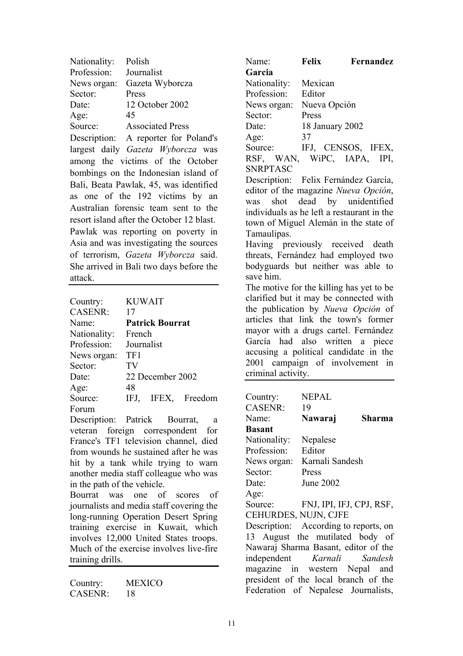| Nationality:                              | Polish                                 |  |  |
|-------------------------------------------|----------------------------------------|--|--|
| Profession:                               | Journalist                             |  |  |
| News organ:                               | Gazeta Wyborcza                        |  |  |
| Sector:                                   | Press                                  |  |  |
| Date:                                     | 12 October 2002                        |  |  |
| Age:                                      | -45                                    |  |  |
|                                           | Source: Associated Press               |  |  |
|                                           | Description: A reporter for Poland's   |  |  |
|                                           | largest daily Gazeta Wyborcza was      |  |  |
|                                           | among the victims of the October       |  |  |
|                                           | bombings on the Indonesian island of   |  |  |
|                                           | Bali, Beata Pawlak, 45, was identified |  |  |
|                                           | as one of the 192 victims by an        |  |  |
| Australian forensic team sent to the      |                                        |  |  |
| resort island after the October 12 blast. |                                        |  |  |
| Pawlak was reporting on poverty in        |                                        |  |  |
| Asia and was investigating the sources    |                                        |  |  |
|                                           | of terrorism, Gazeta Wyborcza said.    |  |  |
| She arrived in Bali two days before the   |                                        |  |  |
| attack.                                   |                                        |  |  |
|                                           |                                        |  |  |

| Country:       | <b>KUWAIT</b>          |  |  |
|----------------|------------------------|--|--|
| <b>CASENR:</b> | 17                     |  |  |
| Name:          | <b>Patrick Bourrat</b> |  |  |
| Nationality:   | French                 |  |  |
| Profession:    | Journalist             |  |  |
| News organ:    | TF1                    |  |  |
| Sector:        | TV                     |  |  |
| Date:          | 22 December 2002       |  |  |
| Age:           | 48                     |  |  |
| Source:        | IFEX, Freedom<br>IFJ,  |  |  |
| Forum          |                        |  |  |

Description: Patrick Bourrat, a veteran foreign correspondent for France's TF1 television channel, died from wounds he sustained after he was hit by a tank while trying to warn another media staff colleague who was in the path of the vehicle.

Bourrat was one of scores of journalists and media staff covering the long-running Operation Desert Spring training exercise in Kuwait, which involves 12,000 United States troops. Much of the exercise involves live-fire training drills.

Country: MEXICO CASENR: 18

| Name:           | <b>Felix</b>    | Fernandez              |
|-----------------|-----------------|------------------------|
| Garcia          |                 |                        |
| Nationality:    | Mexican         |                        |
| Profession:     | Editor          |                        |
| News organ:     | Nueva Opción    |                        |
| Sector:         | Press           |                        |
| Date:           | 18 January 2002 |                        |
| Age:            | 37              |                        |
| Source:         |                 | IFJ, CENSOS, IFEX,     |
| RSF, WAN,       | WiPC, IAPA,     | IPI.                   |
| <b>SNRPTASC</b> |                 |                        |
| Docorintion:    |                 | Eoliv Fornóndoz Goroío |

Description: Felix Fernández García, editor of the magazine *Nueva Opción*, was shot dead by unidentified individuals as he left a restaurant in the town of Miguel Alemán in the state of Tamaulipas.

Having previously received death threats, Fernández had employed two bodyguards but neither was able to save him.

The motive for the killing has yet to be clarified but it may be connected with the publication by *Nueva Opción* of articles that link the town's former mayor with a drugs cartel. Fernández García had also written a piece accusing a political candidate in the 2001 campaign of involvement in criminal activity.

| Country:                              | <b>NEPAL</b>     |               |  |
|---------------------------------------|------------------|---------------|--|
| <b>CASENR:</b>                        | 19               |               |  |
| Name:                                 | Nawaraj          | <b>Sharma</b> |  |
| Basant                                |                  |               |  |
| Nationality:                          | Nepalese         |               |  |
| Profession:                           | Editor           |               |  |
| News organ:                           | Karnali Sandesh  |               |  |
| Sector:                               | Press            |               |  |
| Date:                                 | <b>June 2002</b> |               |  |
| Age:                                  |                  |               |  |
| Source: FNJ, IPI, IFJ, CPJ, RSF,      |                  |               |  |
| CEHURDES, NUJN, CJFE                  |                  |               |  |
| Description: According to reports, on |                  |               |  |
| 13 August the mutilated body of       |                  |               |  |
| Nawaraj Sharma Basant, editor of the  |                  |               |  |
| independent Karnali Sandesh           |                  |               |  |
| magazine in western Nepal and         |                  |               |  |
| president of the local branch of the  |                  |               |  |
| Federation of Nepalese Journalists,   |                  |               |  |
|                                       |                  |               |  |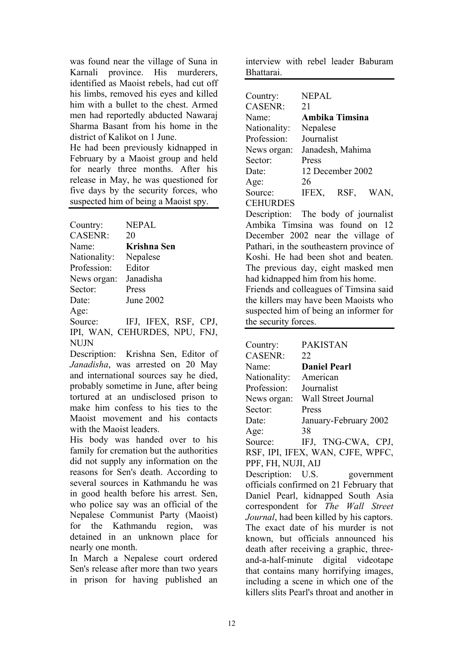was found near the village of Suna in Karnali province. His murderers, identified as Maoist rebels, had cut off his limbs, removed his eyes and killed him with a bullet to the chest. Armed men had reportedly abducted Nawaraj Sharma Basant from his home in the district of Kalikot on 1 June.

He had been previously kidnapped in February by a Maoist group and held for nearly three months. After his release in May, he was questioned for five days by the security forces, who suspected him of being a Maoist spy.

| Country:       | <b>NEPAL</b>         |
|----------------|----------------------|
| <b>CASENR:</b> | 20                   |
| Name:          | Krishna Sen          |
| Nationality:   | Nepalese             |
| Profession:    | Editor               |
| News organ:    | Janadisha            |
| Sector:        | Press                |
| Date:          | <b>June 2002</b>     |
| Age:           |                      |
| Source:        | IFJ, IFEX, RSF, CPJ, |

IPI, WAN, CEHURDES, NPU, FNJ, NUJN

Description: Krishna Sen, Editor of *Janadisha*, was arrested on 20 May and international sources say he died, probably sometime in June, after being tortured at an undisclosed prison to make him confess to his ties to the Maoist movement and his contacts with the Maoist leaders.

His body was handed over to his family for cremation but the authorities did not supply any information on the reasons for Sen's death. According to several sources in Kathmandu he was in good health before his arrest. Sen, who police say was an official of the Nepalese Communist Party (Maoist) for the Kathmandu region, was detained in an unknown place for nearly one month.

In March a Nepalese court ordered Sen's release after more than two years in prison for having published an interview with rebel leader Baburam Bhattarai.

| Country:        | <b>NEPAL</b> |                  |      |
|-----------------|--------------|------------------|------|
| <b>CASENR:</b>  | 21           |                  |      |
| Name:           |              | Ambika Timsina   |      |
| Nationality:    | Nepalese     |                  |      |
| Profession:     | Journalist   |                  |      |
| News organ:     |              | Janadesh, Mahima |      |
| Sector:         | Press        |                  |      |
| Date:           |              | 12 December 2002 |      |
| Age:            | 26           |                  |      |
| Source:         | IFEX,        | RSF,             | WAN, |
| <b>CEHURDES</b> |              |                  |      |

Description: The body of journalist Ambika Timsina was found on 12 December 2002 near the village of Pathari, in the southeastern province of Koshi. He had been shot and beaten. The previous day, eight masked men had kidnapped him from his home. Friends and colleagues of Timsina said the killers may have been Maoists who suspected him of being an informer for

the security forces.

| Country:               | <b>PAKISTAN</b>                             |
|------------------------|---------------------------------------------|
| CASENR:                | 22                                          |
| Name:                  | <b>Daniel Pearl</b>                         |
| Nationality: American  |                                             |
| Profession: Journalist |                                             |
|                        | News organ: Wall Street Journal             |
| Sector:<br>$\int$ a.   | Press                                       |
| Date:                  | January-February 2002                       |
| Age:                   | 38                                          |
|                        | Source: IFJ, TNG-CWA, CPJ,                  |
|                        | RSF, IPI, IFEX, WAN, CJFE, WPFC,            |
| PPF, FH, NUJI, AIJ     |                                             |
|                        | Description: U.S. government                |
|                        | officials confirmed on 21 February that     |
|                        | Daniel Pearl, kidnapped South Asia          |
|                        | correspondent for The Wall Street           |
|                        | Journal, had been killed by his captors.    |
|                        | The exact date of his murder is not         |
|                        | known, but officials announced his          |
|                        | death after receiving a graphic, three-     |
|                        | and-a-half-minute digital videotape         |
|                        | that contains many horrifying images,       |
|                        | including a scene in which one of the       |
|                        | killers slits Pearl's throat and another in |
|                        |                                             |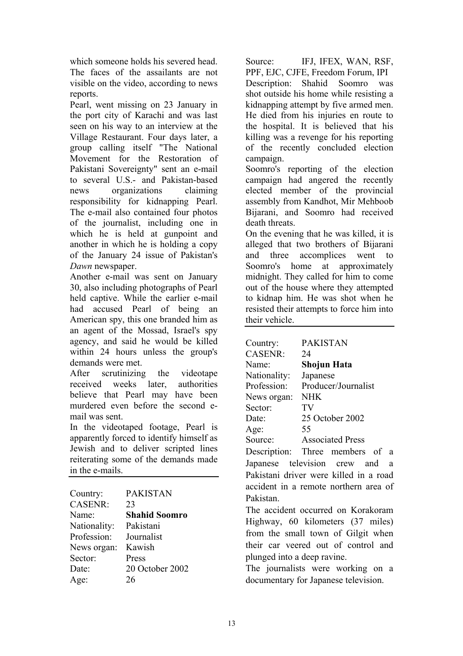which someone holds his severed head. The faces of the assailants are not visible on the video, according to news reports.

Pearl, went missing on 23 January in the port city of Karachi and was last seen on his way to an interview at the Village Restaurant. Four days later, a group calling itself "The National Movement for the Restoration of Pakistani Sovereignty" sent an e-mail to several U.S.- and Pakistan-based news organizations claiming responsibility for kidnapping Pearl. The e-mail also contained four photos of the journalist, including one in which he is held at gunpoint and another in which he is holding a copy of the January 24 issue of Pakistan's *Dawn* newspaper.

Another e-mail was sent on January 30, also including photographs of Pearl held captive. While the earlier e-mail had accused Pearl of being an American spy, this one branded him as an agent of the Mossad, Israel's spy agency, and said he would be killed within 24 hours unless the group's demands were met.

After scrutinizing the videotape received weeks later, authorities believe that Pearl may have been murdered even before the second email was sent.

In the videotaped footage, Pearl is apparently forced to identify himself as Jewish and to deliver scripted lines reiterating some of the demands made in the e-mails.

| Country:       | <b>PAKISTAN</b>      |
|----------------|----------------------|
| <b>CASENR:</b> | 23                   |
| Name:          | <b>Shahid Soomro</b> |
| Nationality:   | Pakistani            |
| Profession:    | Journalist           |
| News organ:    | Kawish               |
| Sector:        | Press                |
| Date:          | 20 October 2002      |
| Age:           | 26                   |

Source: IFJ, IFEX, WAN, RSF, PPF, EJC, CJFE, Freedom Forum, IPI Description: Shahid Soomro was shot outside his home while resisting a kidnapping attempt by five armed men. He died from his injuries en route to the hospital. It is believed that his killing was a revenge for his reporting of the recently concluded election campaign.

Soomro's reporting of the election campaign had angered the recently elected member of the provincial assembly from Kandhot, Mir Mehboob Bijarani, and Soomro had received death threats.

On the evening that he was killed, it is alleged that two brothers of Bijarani and three accomplices went to Soomro's home at approximately midnight. They called for him to come out of the house where they attempted to kidnap him. He was shot when he resisted their attempts to force him into their vehicle.

| Country:       | <b>PAKISTAN</b>                                 |
|----------------|-------------------------------------------------|
| <b>CASENR:</b> | 24                                              |
| Name:          | Shojun Hata                                     |
| Nationality:   | Japanese                                        |
| Profession:    | Producer/Journalist                             |
| News organ:    | <b>NHK</b>                                      |
| Sector:        | TV                                              |
| Date:          | 25 October 2002                                 |
| Age:           | 55                                              |
| Source:        | <b>Associated Press</b>                         |
|                | Description: Three members of a                 |
|                | Japanese television crew and<br>a               |
|                | Pakistani driver were killed in a road          |
|                | accident in a remote northern area of           |
| Pakistan.      |                                                 |
|                | $\Gamma$ lea agaidemt againmed an $V$ amalyaman |

The accident occurred on Korakoram Highway, 60 kilometers (37 miles) from the small town of Gilgit when their car veered out of control and plunged into a deep ravine.

The journalists were working on a documentary for Japanese television.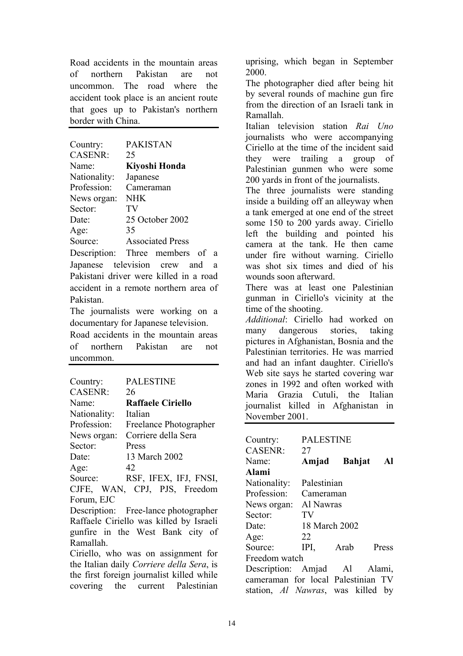Road accidents in the mountain areas of northern Pakistan are not uncommon. The road where the accident took place is an ancient route that goes up to Pakistan's northern border with China.

| Country:       | <b>PAKISTAN</b>         |
|----------------|-------------------------|
| <b>CASENR:</b> | 25                      |
| Name:          | Kiyoshi Honda           |
| Nationality:   | Japanese                |
| Profession:    | Cameraman               |
| News organ:    | <b>NHK</b>              |
| Sector:        | TV                      |
| Date:          | 25 October 2002         |
| Age:           | 35                      |
| Source:        | <b>Associated Press</b> |
|                |                         |

Description: Three members of a Japanese television crew and a Pakistani driver were killed in a road accident in a remote northern area of Pakistan.

The journalists were working on a documentary for Japanese television.

Road accidents in the mountain areas of northern Pakistan are not uncommon.

| Country:       | <b>PALESTINE</b>         |
|----------------|--------------------------|
| <b>CASENR:</b> | 26                       |
| Name:          | <b>Raffaele Ciriello</b> |
| Nationality:   | Italian                  |
| Profession:    | Freelance Photographer   |
| News organ:    | Corriere della Sera      |
| Sector:        | Press                    |
| Date:          | 13 March 2002            |
| Age:           | 42                       |
| Source:        | RSF, IFEX, IFJ, FNSI,    |
| CJFE,          | WAN, CPJ, PJS, Freedom   |
| Forum EJC      |                          |

Description: Free-lance photographer Raffaele Ciriello was killed by Israeli gunfire in the West Bank city of Ramallah.

Ciriello, who was on assignment for the Italian daily *Corriere della Sera*, is the first foreign journalist killed while covering the current Palestinian uprising, which began in September 2000.

The photographer died after being hit by several rounds of machine gun fire from the direction of an Israeli tank in Ramallah.

Italian television station *Rai Uno* journalists who were accompanying Ciriello at the time of the incident said they were trailing a group of Palestinian gunmen who were some 200 yards in front of the journalists.

The three journalists were standing inside a building off an alleyway when a tank emerged at one end of the street some 150 to 200 yards away. Ciriello left the building and pointed his camera at the tank. He then came under fire without warning. Ciriello was shot six times and died of his wounds soon afterward.

There was at least one Palestinian gunman in Ciriello's vicinity at the time of the shooting.

*Additional*: Ciriello had worked on many dangerous stories, taking pictures in Afghanistan, Bosnia and the Palestinian territories. He was married and had an infant daughter. Ciriello's Web site says he started covering war zones in 1992 and often worked with Maria Grazia Cutuli, the Italian journalist killed in Afghanistan in November 2001.

| Country:                           | <b>PALESTINE</b> |      |       |
|------------------------------------|------------------|------|-------|
| <b>CASENR:</b>                     | 27               |      |       |
| Name:                              | Amjad Bahjat     |      | - Al  |
| Alami                              |                  |      |       |
| Nationality:                       | Palestinian      |      |       |
| Profession:                        | Cameraman        |      |       |
| News organ: Al Nawras              |                  |      |       |
| Sector:                            | TV               |      |       |
| Date:                              | 18 March 2002    |      |       |
| Age:                               | 22               |      |       |
| Source:                            | $IPI$ ,          | Arab | Press |
| Freedom watch                      |                  |      |       |
| Description: Amjad Al Alami,       |                  |      |       |
| cameraman for local Palestinian TV |                  |      |       |
| station, Al Nawras, was killed by  |                  |      |       |
|                                    |                  |      |       |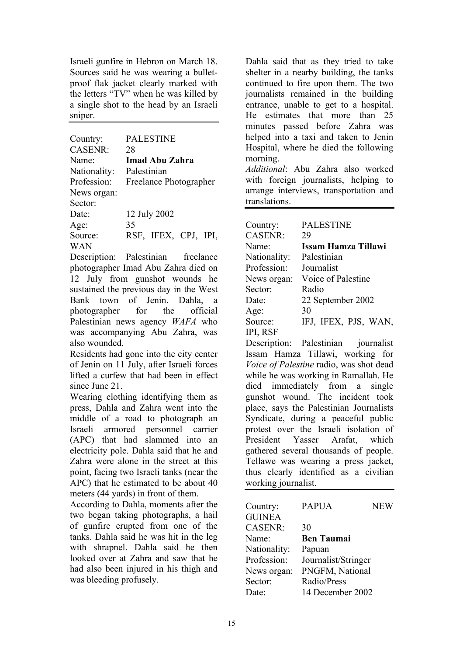Israeli gunfire in Hebron on March 18. Sources said he was wearing a bulletproof flak jacket clearly marked with the letters "TV" when he was killed by a single shot to the head by an Israeli sniper.

| Country:<br><b>CASENR:</b><br>Name <sup>.</sup> | <b>PALESTINE</b><br>28<br>Imad Abu Zahra |
|-------------------------------------------------|------------------------------------------|
| Nationality:                                    | Palestinian                              |
| Profession:<br>News organ:                      | Freelance Photographer                   |
| Sector:                                         |                                          |
| Date<br>Age:                                    | 12 July 2002<br>35                       |
| Source:<br>WAN                                  | RSF, IFEX, CPJ, IPI,                     |

Description: Palestinian freelance photographer Imad Abu Zahra died on 12 July from gunshot wounds he sustained the previous day in the West Bank town of Jenin. Dahla, a photographer for the official Palestinian news agency *WAFA* who was accompanying Abu Zahra, was also wounded.

Residents had gone into the city center of Jenin on 11 July, after Israeli forces lifted a curfew that had been in effect since June 21.

Wearing clothing identifying them as press, Dahla and Zahra went into the middle of a road to photograph an Israeli armored personnel carrier (APC) that had slammed into an electricity pole. Dahla said that he and Zahra were alone in the street at this point, facing two Israeli tanks (near the APC) that he estimated to be about 40 meters (44 yards) in front of them.

According to Dahla, moments after the two began taking photographs, a hail of gunfire erupted from one of the tanks. Dahla said he was hit in the leg with shrapnel. Dahla said he then looked over at Zahra and saw that he had also been injured in his thigh and was bleeding profusely.

Dahla said that as they tried to take shelter in a nearby building, the tanks continued to fire upon them. The two journalists remained in the building entrance, unable to get to a hospital. He estimates that more than 25 minutes passed before Zahra was helped into a taxi and taken to Jenin Hospital, where he died the following morning.

*Additional*: Abu Zahra also worked with foreign journalists, helping to arrange interviews, transportation and translations.

| Country:       | <b>PALESTINE</b>     |
|----------------|----------------------|
| <b>CASENR:</b> | 29                   |
| Name:          | Issam Hamza Tillawi  |
| Nationality:   | Palestinian          |
| Profession:    | Journalist           |
| News organ:    | Voice of Palestine   |
| Sector:        | Radio                |
| Date:          | 22 September 2002    |
| Age:           | 30                   |
| Source:        | IFJ, IFEX, PJS, WAN, |
| IPI, RSF       |                      |

Description: Palestinian journalist Issam Hamza Tillawi, working for *Voice of Palestine* radio, was shot dead while he was working in Ramallah. He died immediately from a single gunshot wound. The incident took place, says the Palestinian Journalists Syndicate, during a peaceful public protest over the Israeli isolation of President Yasser Arafat, which gathered several thousands of people. Tellawe was wearing a press jacket, thus clearly identified as a civilian working journalist.

| Country:       | <b>PAPUA</b>        | <b>NEW</b> |
|----------------|---------------------|------------|
| <b>GUINEA</b>  |                     |            |
| <b>CASENR:</b> | 30                  |            |
| Name:          | <b>Ben Taumai</b>   |            |
| Nationality:   | Papuan              |            |
| Profession:    | Journalist/Stringer |            |
| News organ:    | PNGFM, National     |            |
| Sector:        | Radio/Press         |            |
| Date:          | 14 December 2002    |            |
|                |                     |            |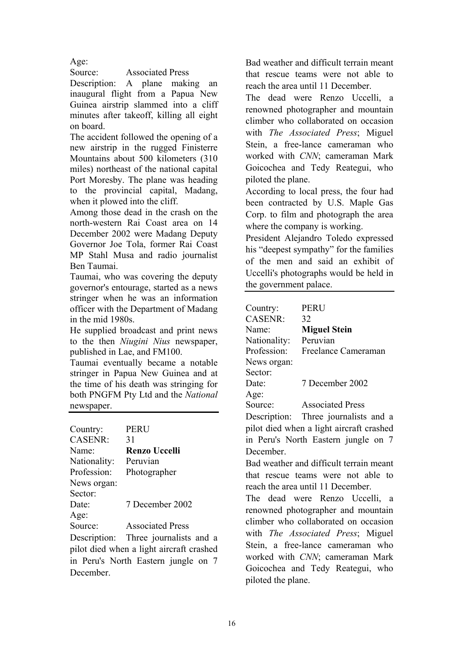Age:

Source: Associated Press

Description: A plane making an inaugural flight from a Papua New Guinea airstrip slammed into a cliff minutes after takeoff, killing all eight on board.

The accident followed the opening of a new airstrip in the rugged Finisterre Mountains about 500 kilometers (310 miles) northeast of the national capital Port Moresby. The plane was heading to the provincial capital, Madang, when it plowed into the cliff.

Among those dead in the crash on the north-western Rai Coast area on 14 December 2002 were Madang Deputy Governor Joe Tola, former Rai Coast MP Stahl Musa and radio journalist Ben Taumai.

Taumai, who was covering the deputy governor's entourage, started as a news stringer when he was an information officer with the Department of Madang in the mid 1980s.

He supplied broadcast and print news to the then *Niugini Nius* newspaper, published in Lae, and FM100.

Taumai eventually became a notable stringer in Papua New Guinea and at the time of his death was stringing for both PNGFM Pty Ltd and the *National* newspaper.

| Country:       | PERU                    |
|----------------|-------------------------|
| <b>CASENR:</b> | 31                      |
| Name:          | <b>Renzo Uccelli</b>    |
| Nationality:   | Peruvian                |
| Profession:    | Photographer            |
| News organ:    |                         |
| Sector:        |                         |
| Date:          | 7 December 2002         |
| Age:           |                         |
| Source:        | <b>Associated Press</b> |
|                |                         |

Description: Three journalists and a pilot died when a light aircraft crashed in Peru's North Eastern jungle on 7 December.

Bad weather and difficult terrain meant that rescue teams were not able to reach the area until 11 December.

The dead were Renzo Uccelli, a renowned photographer and mountain climber who collaborated on occasion with *The Associated Press*; Miguel Stein, a free-lance cameraman who worked with *CNN*; cameraman Mark Goicochea and Tedy Reategui, who piloted the plane.

According to local press, the four had been contracted by U.S. Maple Gas Corp. to film and photograph the area where the company is working.

President Alejandro Toledo expressed his "deepest sympathy" for the families of the men and said an exhibit of Uccelli's photographs would be held in the government palace.

| Country:       | PERU                    |
|----------------|-------------------------|
| <b>CASENR:</b> | 32                      |
| Name:          | <b>Miguel Stein</b>     |
| Nationality:   | Peruvian                |
| Profession:    | Freelance Cameraman     |
| News organ:    |                         |
| Sector:        |                         |
| Date:          | 7 December 2002         |
| Age:           |                         |
| Source:        | <b>Associated Press</b> |

Description: Three journalists and a pilot died when a light aircraft crashed in Peru's North Eastern jungle on 7 December.

Bad weather and difficult terrain meant that rescue teams were not able to reach the area until 11 December.

The dead were Renzo Uccelli, a renowned photographer and mountain climber who collaborated on occasion with *The Associated Press*; Miguel Stein, a free-lance cameraman who worked with *CNN*; cameraman Mark Goicochea and Tedy Reategui, who piloted the plane.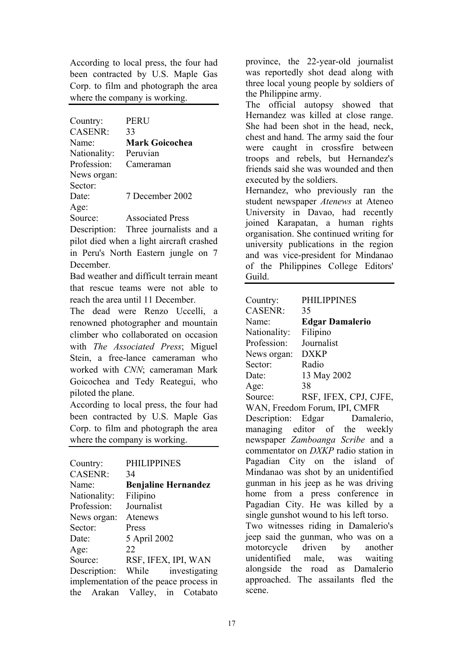According to local press, the four had been contracted by U.S. Maple Gas Corp. to film and photograph the area where the company is working.

| Country:                 | <b>PERU</b>             |
|--------------------------|-------------------------|
| <b>CASENR:</b>           | 33                      |
| Name:                    | <b>Mark Goicochea</b>   |
| Nationality:             | Peruvian                |
| Profession:              | Cameraman               |
| News organ:              |                         |
| Sector:                  |                         |
| Date:                    | 7 December 2002         |
| Age:                     |                         |
| Source:                  | <b>Associated Press</b> |
| Description <sup>.</sup> | Three iournalists ar    |

Description: Three journalists and a pilot died when a light aircraft crashed in Peru's North Eastern jungle on 7 December.

Bad weather and difficult terrain meant that rescue teams were not able to reach the area until 11 December.

The dead were Renzo Uccelli, a renowned photographer and mountain climber who collaborated on occasion with *The Associated Press*; Miguel Stein, a free-lance cameraman who worked with *CNN*; cameraman Mark Goicochea and Tedy Reategui, who piloted the plane.

According to local press, the four had been contracted by U.S. Maple Gas Corp. to film and photograph the area where the company is working.

| Country:       | <b>PHILIPPINES</b>                     |
|----------------|----------------------------------------|
| <b>CASENR:</b> | 34                                     |
| Name:          | <b>Benjaline Hernandez</b>             |
| Nationality:   | Filipino                               |
| Profession:    | Journalist                             |
| News organ:    | Atenews                                |
| Sector:        | Press                                  |
| Date:          | 5 April 2002                           |
| Age:           | 22                                     |
| Source:        | RSF, IFEX, IPI, WAN                    |
| Description:   | While investigating                    |
|                | implementation of the peace process in |
|                | the Arakan Valley, in Cotabato         |

province, the 22-year-old journalist was reportedly shot dead along with three local young people by soldiers of the Philippine army.

The official autopsy showed that Hernandez was killed at close range. She had been shot in the head, neck, chest and hand. The army said the four were caught in crossfire between troops and rebels, but Hernandez's friends said she was wounded and then executed by the soldiers.

Hernandez, who previously ran the student newspaper *Atenews* at Ateneo University in Davao, had recently joined Karapatan, a human rights organisation. She continued writing for university publications in the region and was vice-president for Mindanao of the Philippines College Editors' Guild.

| Country:       | <b>PHILIPPINES</b>                      |
|----------------|-----------------------------------------|
| <b>CASENR:</b> | 35                                      |
| Name:          | <b>Edgar Damalerio</b>                  |
| Nationality:   | Filipino                                |
| Profession:    | Journalist                              |
| News organ:    | <b>DXKP</b>                             |
| Sector:        | Radio                                   |
| Date:          | 13 May 2002                             |
| Age:           | 38                                      |
| Source:        | RSF, IFEX, CPJ, CJFE,                   |
|                | WAN, Freedom Forum, IPI, CMFR           |
|                | Description: Edgar Damalerio,           |
|                | managing editor of the weekly           |
|                | newspaper Zamboanga Scribe and a        |
|                | commentator on DXKP radio station in    |
|                | Pagadian City on the island of          |
|                | Mindanao was shot by an unidentified    |
|                | gunman in his jeep as he was driving    |
|                | home from a press conference in         |
|                | Pagadian City. He was killed by a       |
|                | single gunshot wound to his left torso. |
|                | Two witnesses riding in Damalerio's     |
|                | jeep said the gunman, who was on a      |
|                | motorcycle driven by another            |
|                | unidentified male, was waiting          |
|                | alongside the road as Damalerio         |
|                | approached. The assailants fled the     |
| scene.         |                                         |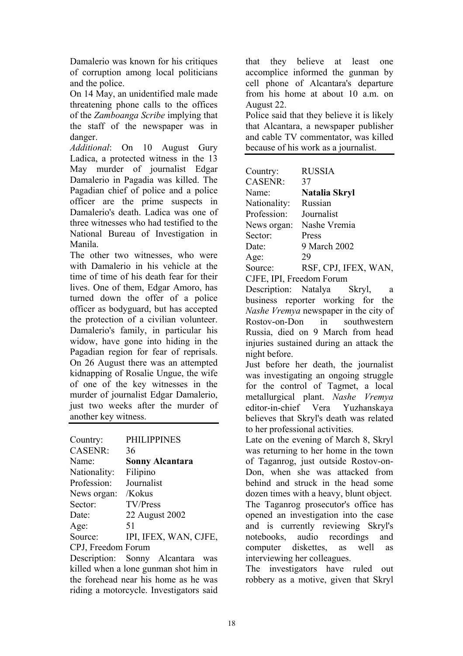Damalerio was known for his critiques of corruption among local politicians and the police.

On 14 May, an unidentified male made threatening phone calls to the offices of the *Zamboanga Scribe* implying that the staff of the newspaper was in danger.

*Additional*: On 10 August Gury Ladica, a protected witness in the 13 May murder of journalist Edgar Damalerio in Pagadia was killed. The Pagadian chief of police and a police officer are the prime suspects in Damalerio's death. Ladica was one of three witnesses who had testified to the National Bureau of Investigation in Manila.

The other two witnesses, who were with Damalerio in his vehicle at the time of time of his death fear for their lives. One of them, Edgar Amoro, has turned down the offer of a police officer as bodyguard, but has accepted the protection of a civilian volunteer. Damalerio's family, in particular his widow, have gone into hiding in the Pagadian region for fear of reprisals. On 26 August there was an attempted kidnapping of Rosalie Ungue, the wife of one of the key witnesses in the murder of journalist Edgar Damalerio, just two weeks after the murder of another key witness.

| Country:           | <b>PHILIPPINES</b>     |
|--------------------|------------------------|
| <b>CASENR:</b>     | 36                     |
| Name:              | <b>Sonny Alcantara</b> |
| Nationality:       | Filipino               |
| Profession:        | Journalist             |
| News organ:        | /Kokus                 |
| Sector:            | TV/Press               |
| Date:              | 22 August 2002         |
| Age:               | 51                     |
| Source:            | IPI, IFEX, WAN, CJFE,  |
| CPJ, Freedom Forum |                        |

Description: Sonny Alcantara was killed when a lone gunman shot him in the forehead near his home as he was riding a motorcycle. Investigators said that they believe at least one accomplice informed the gunman by cell phone of Alcantara's departure from his home at about 10 a.m. on August 22.

Police said that they believe it is likely that Alcantara, a newspaper publisher and cable TV commentator, was killed because of his work as a journalist.

| Country:       | <b>RUSSIA</b>        |
|----------------|----------------------|
| <b>CASENR:</b> | 37                   |
| Name:          | Natalia Skryl        |
| Nationality:   | Russian              |
| Profession:    | Journalist           |
| News organ:    | Nashe Vremia         |
| Sector:        | Press                |
| Date:          | 9 March 2002         |
| Age:           | 29                   |
| Source:        | RSF, CPJ, IFEX, WAN, |

CJFE, IPI, Freedom Forum

Description: Natalya Skryl, a business reporter working for the *Nashe Vremya* newspaper in the city of Rostov-on-Don in southwestern Russia, died on 9 March from head injuries sustained during an attack the night before.

Just before her death, the journalist was investigating an ongoing struggle for the control of Tagmet, a local metallurgical plant. *Nashe Vremya* editor-in-chief Vera Yuzhanskaya believes that Skryl's death was related to her professional activities.

Late on the evening of March 8, Skryl was returning to her home in the town of Taganrog, just outside Rostov-on-Don, when she was attacked from behind and struck in the head some dozen times with a heavy, blunt object. The Taganrog prosecutor's office has opened an investigation into the case and is currently reviewing Skryl's notebooks, audio recordings and computer diskettes, as well as interviewing her colleagues.

The investigators have ruled out robbery as a motive, given that Skryl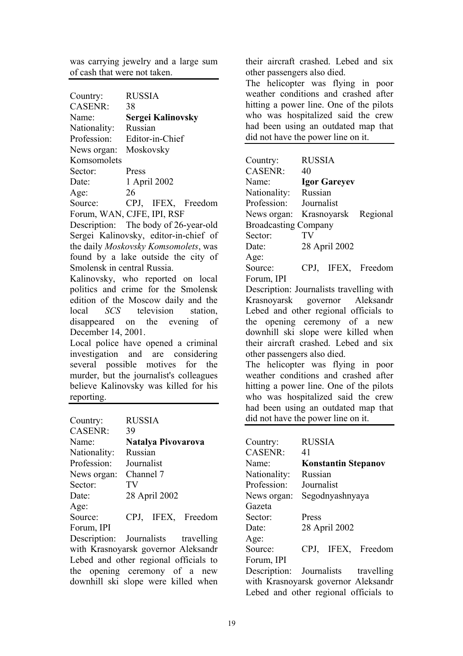was carrying jewelry and a large sum of cash that were not taken.

| Country:          | <b>RUSSIA</b>              |
|-------------------|----------------------------|
| <b>CASENR:</b>    | 38                         |
| Name <sup>-</sup> | <b>Sergei Kalinovsky</b>   |
| Nationality:      | Russian                    |
| Profession:       | Editor-in-Chief            |
| News organ:       | Moskovsky                  |
| Komsomolets       |                            |
| Sector:           | Press                      |
| Date:             | 1 April 2002               |
| Age:              | 26                         |
| Source:           | CPJ, IFEX, Freedom         |
|                   | Forum, WAN, CJFE, IPI, RSF |

Description: The body of 26-year-old Sergei Kalinovsky, editor-in-chief of the daily *Moskovsky Komsomolets*, was found by a lake outside the city of Smolensk in central Russia.

Kalinovsky, who reported on local politics and crime for the Smolensk edition of the Moscow daily and the local *SCS* television station, disappeared on the evening of December 14, 2001.

Local police have opened a criminal investigation and are considering several possible motives for the murder, but the journalist's colleagues believe Kalinovsky was killed for his reporting.

| Country:          | <b>RUSSIA</b>      |
|-------------------|--------------------|
| <b>CASENR:</b>    | 39                 |
| Name <sup>-</sup> | Natalya Pivovarova |
| Nationality:      | Russian            |
| Profession:       | Journalist         |
| News organ:       | Channel 7          |
| Sector:           | TV                 |
| Date:             | 28 April 2002      |
| Age:              |                    |
| Source:           | CPJ, IFEX, Freedom |
| Forum, IPI        |                    |

Description: Journalists travelling with Krasnoyarsk governor Aleksandr Lebed and other regional officials to the opening ceremony of a new downhill ski slope were killed when

their aircraft crashed. Lebed and six other passengers also died.

The helicopter was flying in poor weather conditions and crashed after hitting a power line. One of the pilots who was hospitalized said the crew had been using an outdated map that did not have the power line on it.

| Country:                    | <b>RUSSIA</b>                            |
|-----------------------------|------------------------------------------|
| <b>CASENR:</b>              | 40                                       |
| Name:                       | <b>Igor Gareyev</b>                      |
| Nationality:                | Russian                                  |
| Profession:                 | Journalist                               |
| News organ:                 | Krasnoyarsk Regional                     |
| <b>Broadcasting Company</b> |                                          |
| Sector:                     | TV                                       |
| Date:                       | 28 April 2002                            |
| Age:                        |                                          |
| Source:                     | CPJ, IFEX, Freedom                       |
| Forum, IPI                  |                                          |
|                             | Description: Journalists travelling with |
|                             | Krasnoyarsk governor Aleksandr           |
|                             | Lebed and other regional officials to    |
|                             | the opening ceremony of a new            |
|                             | downhill ski slope were killed when      |
|                             | their aircraft crashed. Lebed and six    |
| other passengers also died. |                                          |
|                             | The helicopter was flying in poor        |
|                             | weather conditions and crashed after     |
|                             | hitting a power line. One of the pilots  |
|                             | who was hospitalized said the crew       |
|                             | had been using an outdated map that      |
|                             | did not have the power line on it.       |
|                             |                                          |
| Country:                    | <b>RUSSIA</b>                            |
| <b>CASENR:</b>              | 41                                       |
| Name:                       | <b>Konstantin Stepanov</b>               |
| Nationality:                | Russian                                  |
| Profession:                 | Journalist                               |

News organ: Segodnyashnyaya Gazeta Sector: Press Date: 28 April 2002 Age: Source: CPJ, IFEX, Freedom Forum, IPI Description: Journalists travelling with Krasnoyarsk governor Aleksandr Lebed and other regional officials to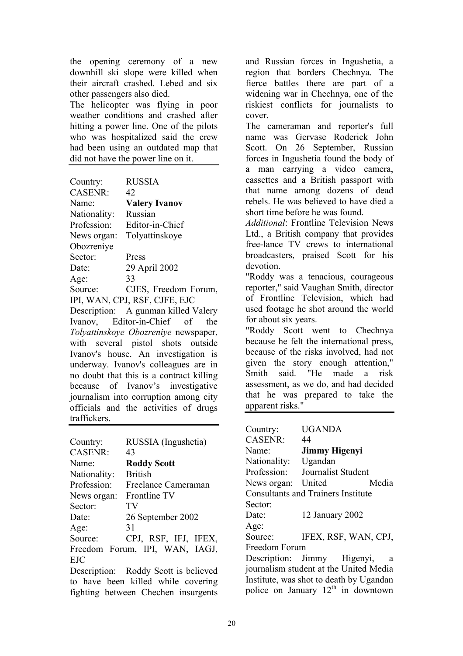the opening ceremony of a new downhill ski slope were killed when their aircraft crashed. Lebed and six other passengers also died.

The helicopter was flying in poor weather conditions and crashed after hitting a power line. One of the pilots who was hospitalized said the crew had been using an outdated map that did not have the power line on it.

| Country:       | <b>RUSSIA</b>                 |
|----------------|-------------------------------|
| <b>CASENR:</b> | 42                            |
| Name:          | <b>Valery Ivanov</b>          |
| Nationality:   | Russian                       |
| Profession:    | Editor-in-Chief               |
| News organ:    | Tolyattinskoye                |
| Obozreniye     |                               |
| Sector:        | Press                         |
| Date:          | 29 April 2002                 |
| Age:           | 33                            |
| Source:        | CJES, Freedom Forum,          |
|                | IPI, WAN, CPJ, RSF, CJFE, EJC |

Description: A gunman killed Valery Ivanov, Editor-in-Chief of the *Tolyattinskoye Obozreniye* newspaper, with several pistol shots outside Ivanov's house. An investigation is underway. Ivanov's colleagues are in no doubt that this is a contract killing because of Ivanov's investigative journalism into corruption among city officials and the activities of drugs traffickers.

| Country:       | RUSSIA (Ingushetia)                  |
|----------------|--------------------------------------|
| <b>CASENR:</b> | 43                                   |
| Name:          | <b>Roddy Scott</b>                   |
| Nationality:   | <b>British</b>                       |
| Profession:    | Freelance Cameraman                  |
| News organ:    | <b>Frontline TV</b>                  |
| Sector:        | TV                                   |
| Date:          | 26 September 2002                    |
| Age:           | 31                                   |
| Source:        | CPJ, RSF, IFJ, IFEX,                 |
|                | Freedom Forum, IPI, WAN, IAGJ,       |
| <b>EJC</b>     |                                      |
|                | Description: Poddy Soott is believed |

Description: Roddy Scott is believed to have been killed while covering fighting between Chechen insurgents and Russian forces in Ingushetia, a region that borders Chechnya. The fierce battles there are part of a widening war in Chechnya, one of the riskiest conflicts for journalists to cover.

The cameraman and reporter's full name was Gervase Roderick John Scott. On 26 September, Russian forces in Ingushetia found the body of a man carrying a video camera, cassettes and a British passport with that name among dozens of dead rebels. He was believed to have died a short time before he was found.

*Additional*: Frontline Television News Ltd., a British company that provides free-lance TV crews to international broadcasters, praised Scott for his devotion.

"Roddy was a tenacious, courageous reporter," said Vaughan Smith, director of Frontline Television, which had used footage he shot around the world for about six years.

"Roddy Scott went to Chechnya because he felt the international press, because of the risks involved, had not given the story enough attention," Smith said. "He made a risk assessment, as we do, and had decided that he was prepared to take the apparent risks."

| Country:           | <b>UGANDA</b>                             |
|--------------------|-------------------------------------------|
| <b>CASENR:</b>     | 44                                        |
| Name <sup>-</sup>  | <b>Jimmy Higenyi</b>                      |
| Nationality:       | Ugandan                                   |
| Profession:        | Journalist Student                        |
| News organ: United | Media                                     |
|                    | <b>Consultants and Trainers Institute</b> |
| Sector:            |                                           |
| Date:              | 12 January 2002                           |
| Age:               |                                           |
| Source:            | IFEX, RSF, WAN, CPJ,                      |
| Freedom Forum      |                                           |
|                    | Description: Jimmy Higenyi,<br>a          |
|                    | journalism student at the United Media    |
|                    | Institute, was shot to death by Ugandan   |
|                    | police on January $12^{th}$ in downtown   |
|                    |                                           |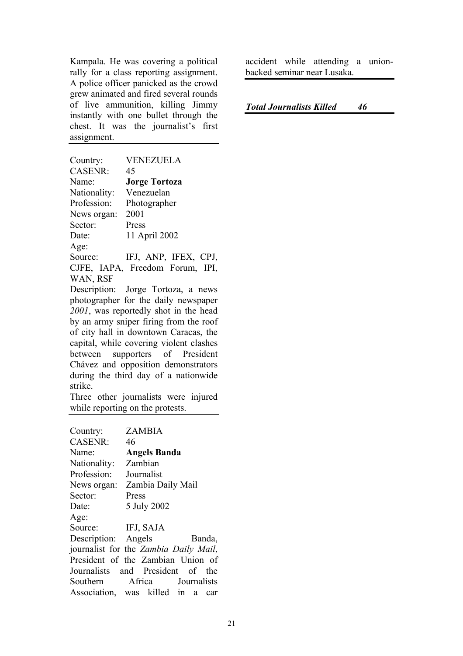Kampala. He was covering a political rally for a class reporting assignment. A police officer panicked as the crowd grew animated and fired several rounds of live ammunition, killing Jimmy instantly with one bullet through the chest. It was the journalist's first assignment.

Country: VENEZUELA CASENR: 45 Name: **Jorge Tortoza** Nationality: Venezuelan Profession: Photographer News organ: 2001 Sector: Press Date: 11 April 2002 Age: Source: IFJ, ANP, IFEX, CPJ, CJFE, IAPA, Freedom Forum, IPI,

WAN, RSF

Description: Jorge Tortoza, a news photographer for the daily newspaper *2001*, was reportedly shot in the head by an army sniper firing from the roof of city hall in downtown Caracas, the capital, while covering violent clashes between supporters of President Chávez and opposition demonstrators during the third day of a nationwide strike.

Three other journalists were injured while reporting on the protests.

| Country:                              |       | <b>ZAMBIA</b>       |  |        |
|---------------------------------------|-------|---------------------|--|--------|
| <b>CASENR:</b>                        | 46    |                     |  |        |
| Name:                                 |       | <b>Angels Banda</b> |  |        |
| Nationality:                          |       | Zambian             |  |        |
| Profession:                           |       | Journalist          |  |        |
| News organ:                           |       | Zambia Daily Mail   |  |        |
| Sector:                               | Press |                     |  |        |
| Date:                                 |       | 5 July 2002         |  |        |
| Age:                                  |       |                     |  |        |
| Source: IFJ, SAJA                     |       |                     |  |        |
| Description: Angels                   |       |                     |  | Banda, |
| journalist for the Zambia Daily Mail, |       |                     |  |        |
| President of the Zambian Union of     |       |                     |  |        |
| Journalists and President of the      |       |                     |  |        |
| Southern Africa Journalists           |       |                     |  |        |
| Association, was killed in a          |       |                     |  | car    |

accident while attending a unionbacked seminar near Lusaka.

#### *Total Journalists Killed 46*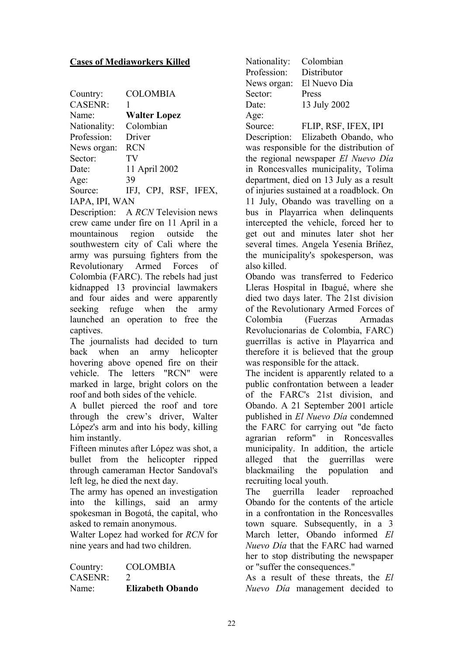#### **Cases of Mediaworkers Killed**

| Country:       | <b>COLOMBIA</b>      |
|----------------|----------------------|
| <b>CASENR:</b> |                      |
| Name:          | <b>Walter Lopez</b>  |
| Nationality:   | Colombian            |
| Profession:    | Driver               |
| News organ:    | <b>RCN</b>           |
| Sector:        | TV                   |
| Date:          | 11 April 2002        |
| Age:           | 39                   |
| Source:        | IFJ, CPJ, RSF, IFEX, |
| IAPA, IPI, WAN |                      |

Description: A *RCN* Television news crew came under fire on 11 April in a mountainous region outside the southwestern city of Cali where the army was pursuing fighters from the Revolutionary Armed Forces of Colombia (FARC). The rebels had just kidnapped 13 provincial lawmakers and four aides and were apparently seeking refuge when the army launched an operation to free the captives.

The journalists had decided to turn back when an army helicopter hovering above opened fire on their vehicle. The letters "RCN" were marked in large, bright colors on the roof and both sides of the vehicle.

A bullet pierced the roof and tore through the crew's driver, Walter López's arm and into his body, killing him instantly.

Fifteen minutes after López was shot, a bullet from the helicopter ripped through cameraman Hector Sandoval's left leg, he died the next day.

The army has opened an investigation into the killings, said an army spokesman in Bogotá, the capital, who asked to remain anonymous.

Walter Lopez had worked for *RCN* for nine years and had two children.

| Country:       | <b>COLOMBIA</b>         |
|----------------|-------------------------|
| <b>CASENR:</b> |                         |
| Name:          | <b>Elizabeth Obando</b> |

Nationality: Colombian Profession: Distributor News organ: El Nuevo Dia Sector: Press Date: 13 July 2002 Age:

Source: FLIP, RSF, IFEX, IPI Description: Elizabeth Obando, who was responsible for the distribution of the regional newspaper *El Nuevo Día* in Roncesvalles municipality, Tolima department, died on 13 July as a result of injuries sustained at a roadblock. On 11 July, Obando was travelling on a bus in Playarrica when delinquents intercepted the vehicle, forced her to get out and minutes later shot her several times. Angela Yesenia Bríñez, the municipality's spokesperson, was also killed.

Obando was transferred to Federico Lleras Hospital in Ibagué, where she died two days later. The 21st division of the Revolutionary Armed Forces of Colombia (Fuerzas Armadas Revolucionarias de Colombia, FARC) guerrillas is active in Playarrica and therefore it is believed that the group was responsible for the attack.

The incident is apparently related to a public confrontation between a leader of the FARC's 21st division, and Obando. A 21 September 2001 article published in *El Nuevo Día* condemned the FARC for carrying out "de facto agrarian reform" in Roncesvalles municipality. In addition, the article alleged that the guerrillas were blackmailing the population and recruiting local youth.

The guerrilla leader reproached Obando for the contents of the article in a confrontation in the Roncesvalles town square. Subsequently, in a 3 March letter, Obando informed *El Nuevo Día* that the FARC had warned her to stop distributing the newspaper or "suffer the consequences."

As a result of these threats, the *El Nuevo Día* management decided to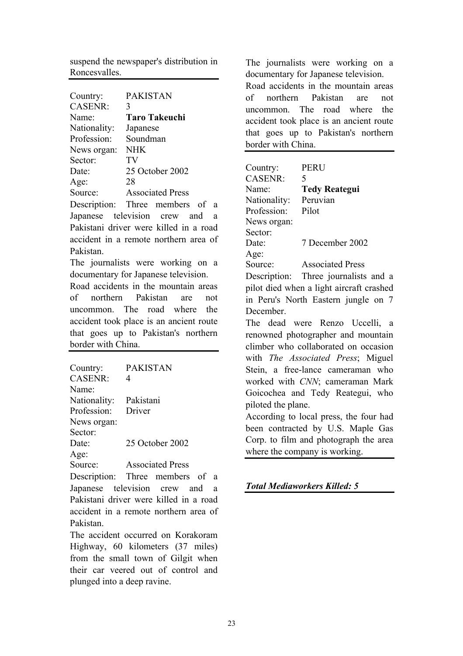suspend the newspaper's distribution in Roncesvalles.

| Country:       | <b>PAKISTAN</b>                        |
|----------------|----------------------------------------|
| <b>CASENR:</b> | 3                                      |
| Name:          | <b>Taro Takeuchi</b>                   |
| Nationality:   | Japanese                               |
| Profession:    | Soundman                               |
| News organ:    | <b>NHK</b>                             |
| Sector:        | TV                                     |
| Date:          | 25 October 2002                        |
| Age:           | 28                                     |
| Source:        | <b>Associated Press</b>                |
|                | Description: Three members of a        |
|                | Japanese television crew and<br>a      |
|                | Pakistani driver were killed in a road |
|                | accident in a remote northern area of  |

Pakistan. The journalists were working on a

documentary for Japanese television.

Road accidents in the mountain areas of northern Pakistan are not uncommon. The road where the accident took place is an ancient route that goes up to Pakistan's northern border with China.

| 4      |                                                                            |                               |
|--------|----------------------------------------------------------------------------|-------------------------------|
|        |                                                                            |                               |
|        |                                                                            |                               |
| Driver |                                                                            |                               |
|        |                                                                            |                               |
|        |                                                                            |                               |
|        |                                                                            |                               |
|        |                                                                            |                               |
|        |                                                                            |                               |
|        |                                                                            |                               |
|        | <b>PAKISTAN</b><br>Pakistani<br>25 October 2002<br><b>Associated Press</b> | Description: Three members of |

Japanese television crew and a Pakistani driver were killed in a road accident in a remote northern area of Pakistan.

The accident occurred on Korakoram Highway, 60 kilometers (37 miles) from the small town of Gilgit when their car veered out of control and plunged into a deep ravine.

The journalists were working on a documentary for Japanese television. Road accidents in the mountain areas of northern Pakistan are not uncommon. The road where the accident took place is an ancient route that goes up to Pakistan's northern border with China.

| Country:                              | <b>PERU</b>                              |  |
|---------------------------------------|------------------------------------------|--|
| <b>CASENR:</b>                        | 5                                        |  |
| Name:                                 | <b>Tedy Reategui</b>                     |  |
| Nationality:                          | Peruvian                                 |  |
| Profession:                           | Pilot                                    |  |
| News organ:                           |                                          |  |
| Sector:                               |                                          |  |
| Date:                                 | 7 December 2002                          |  |
| Age:                                  |                                          |  |
| Source:                               | <b>Associated Press</b>                  |  |
|                                       | Description: Three journalists and a     |  |
|                                       | pilot died when a light aircraft crashed |  |
|                                       | in Peru's North Eastern jungle on 7      |  |
| December.                             |                                          |  |
|                                       | The dead were Renzo Uccelli, a           |  |
|                                       | renowned photographer and mountain       |  |
|                                       | climber who collaborated on occasion     |  |
|                                       | with The Associated Press; Miguel        |  |
|                                       | Stein, a free-lance cameraman who        |  |
| worked with CNN; cameraman Mark       |                                          |  |
|                                       | Goicochea and Tedy Reategui, who         |  |
|                                       |                                          |  |
| piloted the plane.                    |                                          |  |
|                                       | According to local press, the four had   |  |
|                                       | been contracted by U.S. Maple Gas        |  |
| Corp. to film and photograph the area |                                          |  |
|                                       | where the company is working.            |  |

*Total Mediaworkers Killed: 5*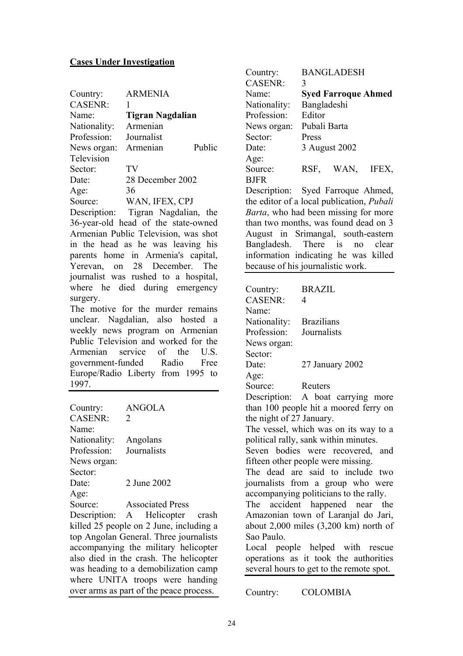#### **Cases Under Investigation**

| Country:       | <b>ARMENIA</b>     |  |
|----------------|--------------------|--|
| <b>CASENR:</b> |                    |  |
| Name:          | Tigran Nagdalian   |  |
| Nationality:   | Armenian           |  |
| Profession:    | Journalist         |  |
| News organ:    | Public<br>Armenian |  |
| Television     |                    |  |
| Sector:        | TV                 |  |
| Date:          | 28 December 2002   |  |
| Age:           | 36                 |  |
| Source:        | WAN, IFEX, CPJ     |  |
|                |                    |  |

Description: Tigran Nagdalian, the 36-year-old head of the state-owned Armenian Public Television, was shot in the head as he was leaving his parents home in Armenia's capital, Yerevan, on 28 December. The journalist was rushed to a hospital, where he died during emergency surgery.

The motive for the murder remains unclear. Nagdalian, also hosted a weekly news program on Armenian Public Television and worked for the Armenian service of the U.S. government-funded Radio Free Europe/Radio Liberty from 1995 to 1997.

| Country:       | <b>ANGOLA</b>           |
|----------------|-------------------------|
| <b>CASENR:</b> | $\mathcal{D}_{\cdot}$   |
| Name:          |                         |
| Nationality:   | Angolans                |
| Profession:    | Journalists             |
| News organ:    |                         |
| Sector:        |                         |
| Date:          | 2 June 2002             |
| Age:           |                         |
| Source:        | <b>Associated Press</b> |

Description: A Helicopter crash killed 25 people on 2 June, including a top Angolan General. Three journalists accompanying the military helicopter also died in the crash. The helicopter was heading to a demobilization camp where UNITA troops were handing over arms as part of the peace process.

| Country:       |              | <b>BANGLADESH</b>          |       |
|----------------|--------------|----------------------------|-------|
| <b>CASENR:</b> | 3            |                            |       |
| Name:          |              | <b>Syed Farroque Ahmed</b> |       |
| Nationality:   | Bangladeshi  |                            |       |
| Profession:    | Editor       |                            |       |
| News organ:    | Pubali Barta |                            |       |
| Sector:        | Press        |                            |       |
| Date:          |              | 3 August 2002              |       |
| Age:           |              |                            |       |
| Source:        | RSF.         | WAN,                       | IFEX, |
| <b>BJFR</b>    |              |                            |       |

Description: Syed Farroque Ahmed, the editor of a local publication, *Pubali Barta*, who had been missing for more than two months, was found dead on 3 August in Srimangal, south-eastern Bangladesh. There is no clear information indicating he was killed because of his journalistic work.

| Country:                 | <b>BRAZIL</b>                             |
|--------------------------|-------------------------------------------|
| <b>CASENR:</b>           | 4                                         |
| Name:                    |                                           |
| Nationality: Brazilians  |                                           |
| Profession:              | Journalists                               |
| News organ:              |                                           |
| Sector:                  |                                           |
| Date:                    | 27 January 2002                           |
| Age:                     |                                           |
| Source:                  | Reuters                                   |
|                          | Description: A boat carrying more         |
|                          | than 100 people hit a moored ferry on     |
| the night of 27 January. |                                           |
|                          | The vessel, which was on its way to a     |
|                          | political rally, sank within minutes.     |
|                          | Seven bodies were recovered, and          |
|                          | fifteen other people were missing.        |
|                          | The dead are said to include two          |
|                          | journalists from a group who were         |
|                          | accompanying politicians to the rally.    |
|                          | The accident happened near the            |
|                          | Amazonian town of Laranjal do Jari,       |
|                          | about $2,000$ miles $(3,200$ km) north of |
| Sao Paulo.               |                                           |
|                          | Local people helped with rescue           |
|                          | operations as it took the authorities     |
|                          | several hours to get to the remote spot.  |
|                          |                                           |
| Country:                 | <b>COLOMBIA</b>                           |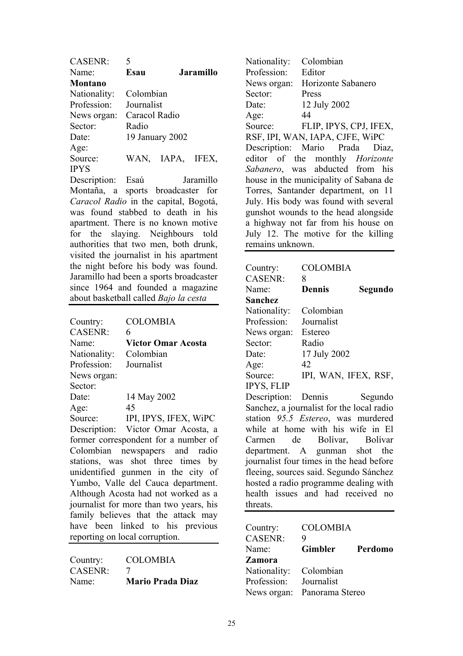| <b>CASENR:</b> | 5             |                  |                  |
|----------------|---------------|------------------|------------------|
| Name:          | Esau          |                  | <b>Jaramillo</b> |
| <b>Montano</b> |               |                  |                  |
| Nationality:   | Colombian     |                  |                  |
| Profession:    | Journalist    |                  |                  |
| News organ:    | Caracol Radio |                  |                  |
| Sector:        | Radio         |                  |                  |
| Date:          |               | 19 January 2002  |                  |
| Age:           |               |                  |                  |
| Source:        |               | WAN, IAPA, IFEX, |                  |
| <b>IPYS</b>    |               |                  |                  |
| $\mathbf{r}$   |               |                  |                  |

Description: Esaú Jaramillo Montaña, a sports broadcaster for *Caracol Radio* in the capital, Bogotá, was found stabbed to death in his apartment. There is no known motive for the slaying. Neighbours told authorities that two men, both drunk, visited the journalist in his apartment the night before his body was found. Jaramillo had been a sports broadcaster since 1964 and founded a magazine about basketball called *Bajo la cesta*

| Country:     | <b>COLOMBIA</b>                         |
|--------------|-----------------------------------------|
| CASENR:      | 6                                       |
| Name:        | <b>Victor Omar Acosta</b>               |
| Nationality: | Colombian                               |
| Profession:  | Journalist                              |
| News organ:  |                                         |
| Sector:      |                                         |
| Date:        | 14 May 2002                             |
| Age:         | 45                                      |
| Source:      | IPI, IPYS, IFEX, WIPC                   |
|              | Description: Victor Omar Acosta, a      |
|              | former correspondent for a number of    |
|              | Colombian newspapers and radio          |
|              | stations, was shot three times by       |
|              | unidentified gunmen in the city of      |
|              | Yumbo, Valle del Cauca department.      |
|              | Although Acosta had not worked as a     |
|              | journalist for more than two years, his |
|              | family believes that the attack may     |
|              | have been linked to his previous        |
|              | reporting on local corruption.          |
|              |                                         |

| Country: | <b>COLOMBIA</b>         |
|----------|-------------------------|
| CASENR:  |                         |
| Name:    | <b>Mario Prada Diaz</b> |

Nationality: Colombian Profession: Editor News organ: Horizonte Sabanero Sector: Press Date: 12 July 2002 Age: 44 Source: FLIP, IPYS, CPJ, IFEX, RSF, IPI, WAN, IAPA, CJFE, WiPC Description: Mario Prada Diaz, editor of the monthly *Horizonte Sabanero*, was abducted from his house in the municipality of Sabana de Torres, Santander department, on 11 July. His body was found with several gunshot wounds to the head alongside a highway not far from his house on July 12. The motive for the killing remains unknown.

| Country:                                  | <b>COLOMBIA</b>      |         |
|-------------------------------------------|----------------------|---------|
| <b>CASENR:</b>                            | 8                    |         |
| Name:                                     | <b>Dennis</b>        | Segundo |
| Sanchez                                   |                      |         |
| Nationality:                              | Colombian            |         |
| Profession:                               | Journalist           |         |
| News organ:                               | Estereo              |         |
| Sector:                                   | Radio                |         |
| Date:                                     | 17 July 2002         |         |
| Age:                                      | 42                   |         |
| Source:                                   | IPI, WAN, IFEX, RSF, |         |
| <b>IPYS, FLIP</b>                         |                      |         |
| Description:                              | Dennis               | Segundo |
| Sanchez, a journalist for the local radio |                      |         |
| station 95.5 Estereo, was murdered        |                      |         |
| while at home with his wife in El         |                      |         |
| Carmen de Bolívar, Bolívar                |                      |         |
| department. A gunman shot the             |                      |         |
| journalist four times in the head before  |                      |         |
| fleeing, sources said. Segundo Sánchez    |                      |         |
| hosted a radio programme dealing with     |                      |         |
| health issues and had received no         |                      |         |
| threats.                                  |                      |         |
|                                           |                      |         |
| Country:                                  | <b>COLOMBIA</b>      |         |

| Country:               | <b>COLOMBIA</b>             |         |
|------------------------|-----------------------------|---------|
| <b>CASENR:</b>         | 9                           |         |
| Name:                  | <b>Gimbler</b>              | Perdomo |
| Zamora                 |                             |         |
| Nationality: Colombian |                             |         |
| Profession:            | Journalist                  |         |
|                        | News organ: Panorama Stereo |         |
|                        |                             |         |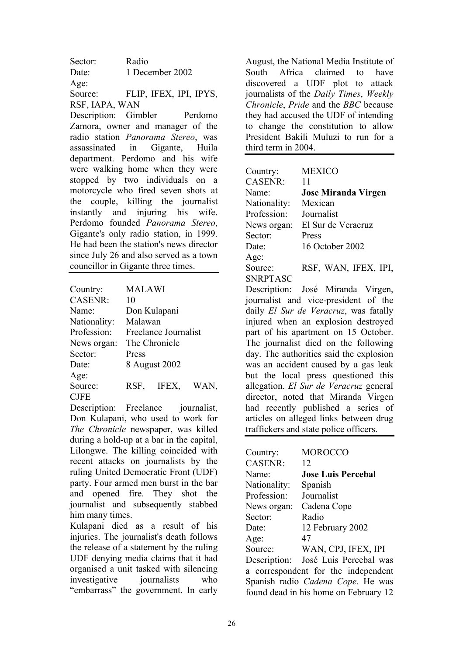Sector: Radio Date: 1 December 2002 Age: Source: FLIP, IFEX, IPI, IPYS, RSF, IAPA, WAN

Description: Gimbler Perdomo Zamora, owner and manager of the radio station *Panorama Stereo*, was assassinated in Gigante, Huila department. Perdomo and his wife were walking home when they were stopped by two individuals on a motorcycle who fired seven shots at the couple, killing the journalist instantly and injuring his wife. Perdomo founded *Panorama Stereo*, Gigante's only radio station, in 1999. He had been the station's news director since July 26 and also served as a town councillor in Gigante three times.

| Country:          | <b>MALAWI</b> |                      |      |
|-------------------|---------------|----------------------|------|
| <b>CASENR:</b>    | 10            |                      |      |
| Name <sup>-</sup> |               | Don Kulapani         |      |
| Nationality:      | Malawan       |                      |      |
| Profession:       |               | Freelance Journalist |      |
| News organ:       |               | The Chronicle        |      |
| Sector:           | Press         |                      |      |
| Date:             |               | 8 August 2002        |      |
| Age:              |               |                      |      |
| Source:           | RSF.          | IFEX,                | WAN, |
| <b>CJFE</b>       |               |                      |      |

Description: Freelance journalist, Don Kulapani, who used to work for *The Chronicle* newspaper, was killed during a hold-up at a bar in the capital, Lilongwe. The killing coincided with recent attacks on journalists by the ruling United Democratic Front (UDF) party. Four armed men burst in the bar and opened fire. They shot the journalist and subsequently stabbed him many times.

Kulapani died as a result of his injuries. The journalist's death follows the release of a statement by the ruling UDF denying media claims that it had organised a unit tasked with silencing investigative iournalists who "embarrass" the government. In early

August, the National Media Institute of South Africa claimed to have discovered a UDF plot to attack journalists of the *Daily Times*, *Weekly Chronicle*, *Pride* and the *BBC* because they had accused the UDF of intending to change the constitution to allow President Bakili Muluzi to run for a third term in 2004.

| <b>MEXICO</b>              |
|----------------------------|
| 11                         |
| <b>Jose Miranda Virgen</b> |
| Mexican                    |
| Journalist                 |
| El Sur de Veracruz         |
| Press                      |
| 16 October 2002            |
|                            |
| RSF, WAN, IFEX, IPI,       |
|                            |
|                            |

Description: José Miranda Virgen, journalist and vice-president of the daily *El Sur de Veracruz*, was fatally injured when an explosion destroyed part of his apartment on 15 October. The journalist died on the following day. The authorities said the explosion was an accident caused by a gas leak but the local press questioned this allegation. *El Sur de Veracruz* general director, noted that Miranda Virgen had recently published a series of articles on alleged links between drug traffickers and state police officers.

| Country:       | <b>MOROCCO</b>                            |
|----------------|-------------------------------------------|
| <b>CASENR:</b> | 12                                        |
| Name:          | <b>Jose Luis Percebal</b>                 |
| Nationality:   | Spanish                                   |
| Profession:    | Journalist                                |
| News organ:    | Cadena Cope                               |
| Sector:        | Radio                                     |
| Date:          | 12 February 2002                          |
| Age:           | 47                                        |
| Source:        | WAN, CPJ, IFEX, IPI                       |
|                | Description: José Luis Percebal was       |
|                | a correspondent for the independent       |
|                | Spanish radio <i>Cadena Cope</i> . He was |
|                | found dead in his home on February 12     |
|                |                                           |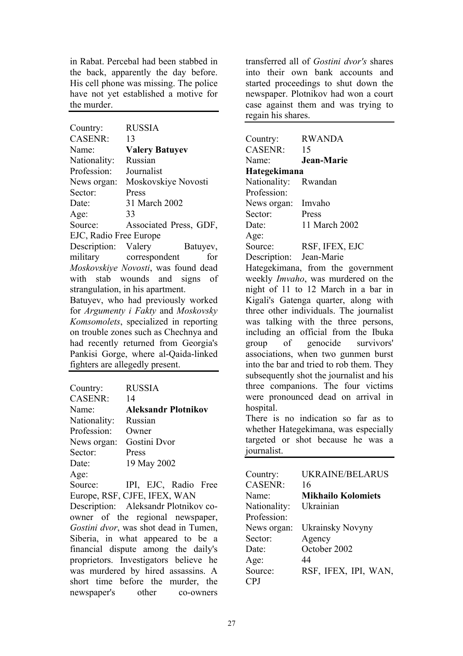in Rabat. Percebal had been stabbed in the back, apparently the day before. His cell phone was missing. The police have not yet established a motive for the murder.

| Country:                              | <b>RUSSIA</b>                         |  |
|---------------------------------------|---------------------------------------|--|
| <b>CASENR:</b>                        | 13                                    |  |
| Name:                                 | <b>Valery Batuyev</b>                 |  |
| Nationality:                          | Russian                               |  |
| Profession:                           | Journalist                            |  |
| News organ:                           | Moskovskiye Novosti                   |  |
| Sector:                               | Press                                 |  |
| Date:                                 | 31 March 2002                         |  |
| Age:                                  | 33                                    |  |
| Source:                               | Associated Press, GDF,                |  |
| EJC, Radio Free Europe                |                                       |  |
| Description: Valery                   | Batuyev,                              |  |
|                                       | military correspondent<br>for         |  |
|                                       | Moskovskiye Novosti, was found dead   |  |
|                                       | with stab wounds and signs of         |  |
|                                       | strangulation, in his apartment.      |  |
|                                       | Batuyev, who had previously worked    |  |
| for Argumenty i Fakty and Moskovsky   |                                       |  |
| Komsomolets, specialized in reporting |                                       |  |
|                                       | on trouble zones such as Chechnya and |  |
|                                       | had recently returned from Georgia's  |  |
|                                       | Pankisi Gorge, where al-Qaida-linked  |  |
|                                       | fighters are allegedly present.       |  |
|                                       |                                       |  |

| Country:       | <b>RUSSIA</b>                               |
|----------------|---------------------------------------------|
| <b>CASENR:</b> | 14                                          |
| Name:          | <b>Aleksandr Plotnikov</b>                  |
| Nationality:   | Russian                                     |
| Profession:    | Owner                                       |
| News organ:    | Gostini Dvor                                |
| Sector:        | Press                                       |
| Date:          | 19 May 2002                                 |
| Age:           |                                             |
| $\sim$         | $\mathbf{D}$ 1.<br>$\Gamma$ $\Gamma$ $\cap$ |

Source: IPI, EJC, Radio Free Europe, RSF, CJFE, IFEX, WAN

Description: Aleksandr Plotnikov coowner of the regional newspaper, *Gostini dvor*, was shot dead in Tumen, Siberia, in what appeared to be a financial dispute among the daily's proprietors. Investigators believe he was murdered by hired assassins. A short time before the murder, the newspaper's other co-owners

transferred all of *Gostini dvor's* shares into their own bank accounts and started proceedings to shut down the newspaper. Plotnikov had won a court case against them and was trying to regain his shares.

| Country:                   | <b>RWANDA</b>                            |
|----------------------------|------------------------------------------|
| <b>CASENR:</b>             | 15                                       |
| Name:                      | Jean-Marie                               |
| Hategekimana               |                                          |
| Nationality:               | Rwandan                                  |
| Profession:                |                                          |
| News organ:                | Imvaho                                   |
| Sector:                    | Press                                    |
| Date:                      | 11 March 2002                            |
| Age:                       |                                          |
| Source:                    | RSF, IFEX, EJC                           |
| Description: Jean-Marie    |                                          |
|                            | Hategekimana, from the government        |
|                            | weekly Imvaho, was murdered on the       |
|                            | night of 11 to 12 March in a bar in      |
|                            | Kigali's Gatenga quarter, along with     |
|                            | three other individuals. The journalist  |
|                            | was talking with the three persons,      |
|                            | including an official from the Ibuka     |
|                            | group of genocide survivors'             |
|                            | associations, when two gunmen burst      |
|                            | into the bar and tried to rob them. They |
|                            | subsequently shot the journalist and his |
|                            | three companions. The four victims       |
|                            | were pronounced dead on arrival in       |
| hospital.                  |                                          |
|                            | There is no indication so far as<br>to   |
|                            | whether Hategekimana, was especially     |
|                            | targeted or shot because he was a        |
| journalist.                |                                          |
|                            |                                          |
|                            | <b>UKRAINE/BELARUS</b>                   |
| Country:<br><b>CASENR:</b> | 16                                       |
|                            | <b>Mikhailo Kolomiets</b>                |
| Name:                      |                                          |
| Nationality:               | Ukrainian                                |

Profession: News organ: Ukrainsky Novyny Sector: Agency Date: October 2002 Age: 44 Source: RSF, IFEX, IPI, WAN, CPJ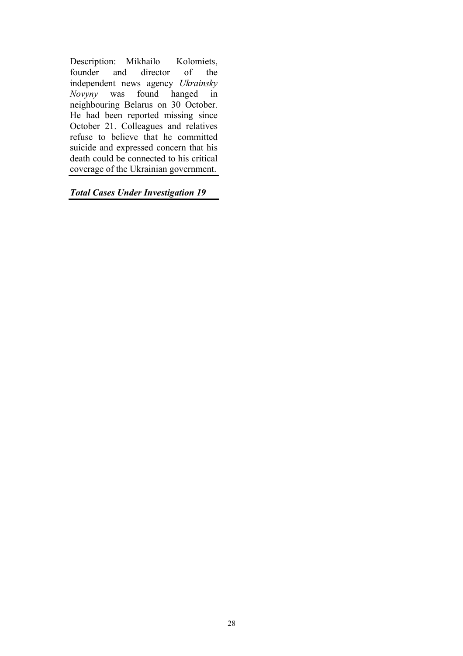Description: Mikhailo Kolomiets, founder and director of the independent news agency *Ukrainsky Novyny* was found hanged in neighbouring Belarus on 30 October. He had been reported missing since October 21. Colleagues and relatives refuse to believe that he committed suicide and expressed concern that his death could be connected to his critical coverage of the Ukrainian government.

*Total Cases Under Investigation 19*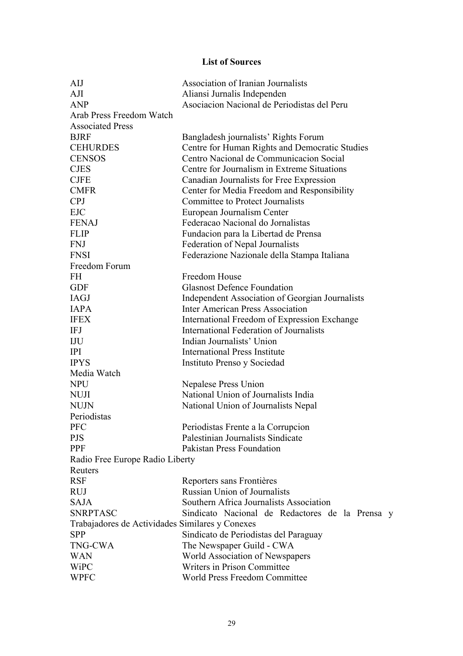### **List of Sources**

| AIJ                                             | Association of Iranian Journalists              |  |
|-------------------------------------------------|-------------------------------------------------|--|
| AJI                                             | Aliansi Jurnalis Independen                     |  |
| <b>ANP</b>                                      | Asociacion Nacional de Periodistas del Peru     |  |
| Arab Press Freedom Watch                        |                                                 |  |
| <b>Associated Press</b>                         |                                                 |  |
| <b>BJRF</b>                                     | Bangladesh journalists' Rights Forum            |  |
| <b>CEHURDES</b>                                 | Centre for Human Rights and Democratic Studies  |  |
| <b>CENSOS</b>                                   | Centro Nacional de Communicacion Social         |  |
| <b>CJES</b>                                     | Centre for Journalism in Extreme Situations     |  |
| <b>CJFE</b>                                     | Canadian Journalists for Free Expression        |  |
| <b>CMFR</b>                                     | Center for Media Freedom and Responsibility     |  |
| <b>CPJ</b>                                      | <b>Committee to Protect Journalists</b>         |  |
| <b>EJC</b>                                      | European Journalism Center                      |  |
| <b>FENAJ</b>                                    | Federacao Nacional do Jornalistas               |  |
| <b>FLIP</b>                                     | Fundacion para la Libertad de Prensa            |  |
| <b>FNJ</b>                                      | Federation of Nepal Journalists                 |  |
| <b>FNSI</b>                                     | Federazione Nazionale della Stampa Italiana     |  |
| Freedom Forum                                   |                                                 |  |
| <b>FH</b>                                       | Freedom House                                   |  |
| <b>GDF</b>                                      | <b>Glasnost Defence Foundation</b>              |  |
| <b>IAGJ</b>                                     | Independent Association of Georgian Journalists |  |
| <b>IAPA</b>                                     | <b>Inter American Press Association</b>         |  |
| <b>IFEX</b>                                     | International Freedom of Expression Exchange    |  |
| <b>IFJ</b>                                      | International Federation of Journalists         |  |
| IJU                                             | Indian Journalists' Union                       |  |
| <b>IPI</b>                                      | <b>International Press Institute</b>            |  |
| <b>IPYS</b>                                     | Instituto Prenso y Sociedad                     |  |
| Media Watch                                     |                                                 |  |
| <b>NPU</b>                                      | Nepalese Press Union                            |  |
| <b>NUJI</b>                                     | National Union of Journalists India             |  |
| <b>NUJN</b>                                     | National Union of Journalists Nepal             |  |
| Periodistas                                     |                                                 |  |
| <b>PFC</b>                                      | Periodistas Frente a la Corrupcion              |  |
| <b>PJS</b>                                      | Palestinian Journalists Sindicate               |  |
| PPF                                             | <b>Pakistan Press Foundation</b>                |  |
| Radio Free Europe Radio Liberty                 |                                                 |  |
| Reuters                                         |                                                 |  |
| <b>RSF</b>                                      | Reporters sans Frontières                       |  |
| <b>RUJ</b>                                      | <b>Russian Union of Journalists</b>             |  |
| <b>SAJA</b>                                     | Southern Africa Journalists Association         |  |
| <b>SNRPTASC</b>                                 | Sindicato Nacional de Redactores de la Prensa y |  |
| Trabajadores de Actividades Similares y Conexes |                                                 |  |
| <b>SPP</b>                                      | Sindicato de Periodistas del Paraguay           |  |
| <b>TNG-CWA</b>                                  | The Newspaper Guild - CWA                       |  |
| <b>WAN</b>                                      | World Association of Newspapers                 |  |
| WiPC                                            | Writers in Prison Committee                     |  |
| <b>WPFC</b>                                     | World Press Freedom Committee                   |  |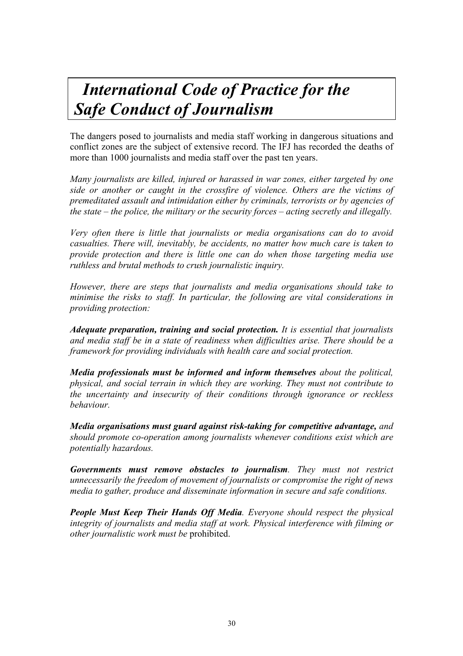# *International Code of Practice for the Safe Conduct of Journalism*

The dangers posed to journalists and media staff working in dangerous situations and conflict zones are the subject of extensive record. The IFJ has recorded the deaths of more than 1000 journalists and media staff over the past ten years.

*Many journalists are killed, injured or harassed in war zones, either targeted by one side or another or caught in the crossfire of violence. Others are the victims of premeditated assault and intimidation either by criminals, terrorists or by agencies of the state – the police, the military or the security forces – acting secretly and illegally.* 

*Very often there is little that journalists or media organisations can do to avoid casualties. There will, inevitably, be accidents, no matter how much care is taken to provide protection and there is little one can do when those targeting media use ruthless and brutal methods to crush journalistic inquiry.* 

*However, there are steps that journalists and media organisations should take to minimise the risks to staff. In particular, the following are vital considerations in providing protection:* 

*Adequate preparation, training and social protection. It is essential that journalists and media staff be in a state of readiness when difficulties arise. There should be a framework for providing individuals with health care and social protection.* 

*Media professionals must be informed and inform themselves about the political, physical, and social terrain in which they are working. They must not contribute to the uncertainty and insecurity of their conditions through ignorance or reckless behaviour.* 

*Media organisations must guard against risk-taking for competitive advantage, and should promote co-operation among journalists whenever conditions exist which are potentially hazardous.* 

*Governments must remove obstacles to journalism. They must not restrict unnecessarily the freedom of movement of journalists or compromise the right of news media to gather, produce and disseminate information in secure and safe conditions.* 

*People Must Keep Their Hands Off Media. Everyone should respect the physical integrity of journalists and media staff at work. Physical interference with filming or other journalistic work must be* prohibited.